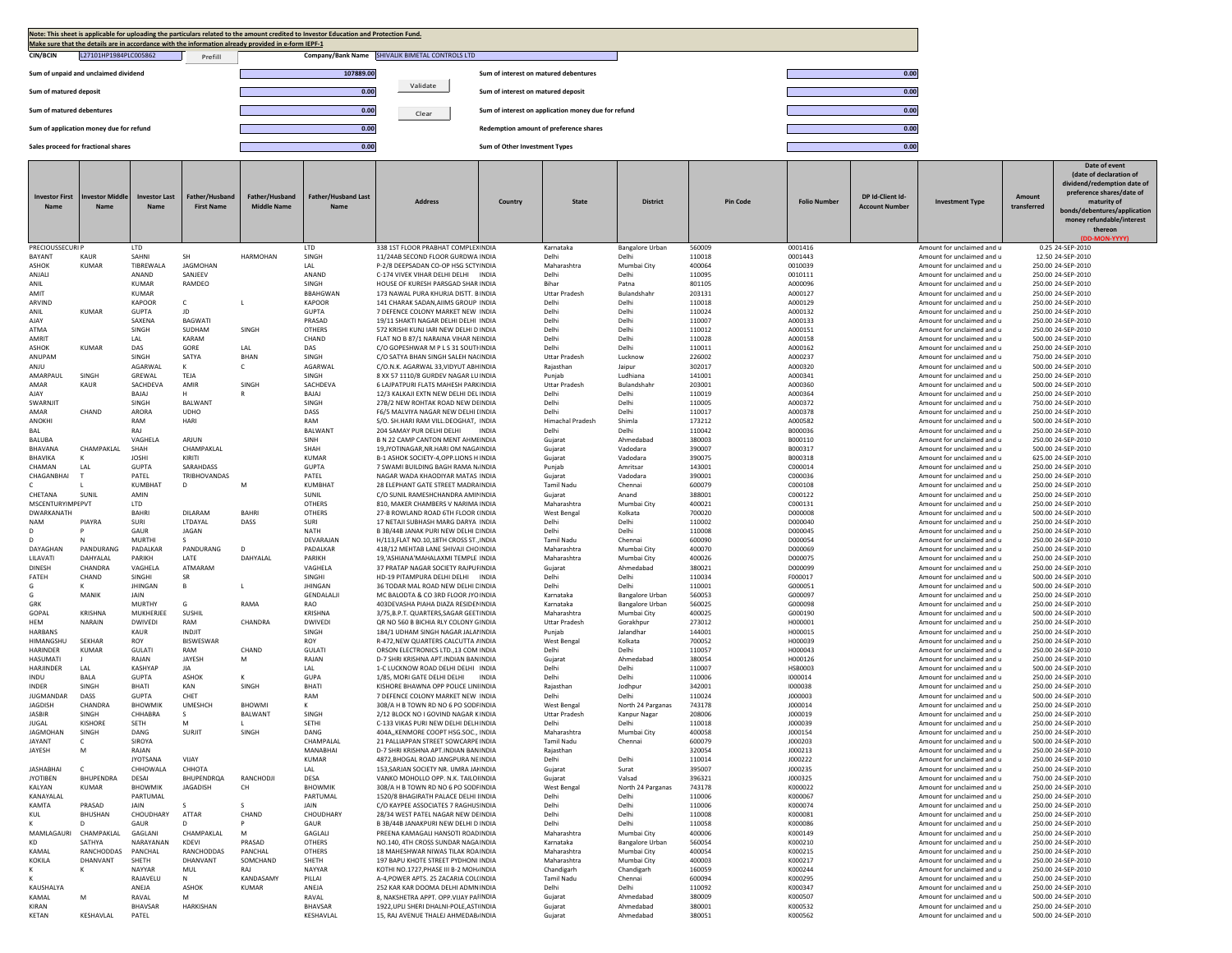|                                                                                | Note: This sheet is applicable for uploading the particulars related to the amount credited to Investor Education and Protection Fund.<br>Make sure that the details are in accordance with the information already provided in e-form IEPF-1 |                                     |                                     |                                      |                                    |                                                                                |                                       |                                        |                                 |                  |                     |                                           |                                                          |                       |                                                                                                                                                                                             |  |
|--------------------------------------------------------------------------------|-----------------------------------------------------------------------------------------------------------------------------------------------------------------------------------------------------------------------------------------------|-------------------------------------|-------------------------------------|--------------------------------------|------------------------------------|--------------------------------------------------------------------------------|---------------------------------------|----------------------------------------|---------------------------------|------------------|---------------------|-------------------------------------------|----------------------------------------------------------|-----------------------|---------------------------------------------------------------------------------------------------------------------------------------------------------------------------------------------|--|
| <b>CIN/BCIN</b>                                                                | L27101HP1984PLC005862                                                                                                                                                                                                                         |                                     | Prefill                             |                                      |                                    | Company/Bank Name SHIVALIK BIMETAL CONTROLS LTD                                |                                       |                                        |                                 |                  |                     |                                           |                                                          |                       |                                                                                                                                                                                             |  |
|                                                                                | Sum of unpaid and unclaimed dividend                                                                                                                                                                                                          |                                     |                                     |                                      | 107889.00                          |                                                                                | Sum of interest on matured debentures |                                        |                                 |                  |                     | 0.00                                      |                                                          |                       |                                                                                                                                                                                             |  |
| Sum of matured deposit                                                         |                                                                                                                                                                                                                                               |                                     |                                     |                                      | 0.00                               | Validate                                                                       | Sum of interest on matured deposit    |                                        |                                 |                  |                     | 0.00                                      |                                                          |                       |                                                                                                                                                                                             |  |
| Sum of matured debentures                                                      |                                                                                                                                                                                                                                               |                                     |                                     |                                      | 0.00                               | 0.00<br>Sum of interest on application money due for refund<br>Clear           |                                       |                                        |                                 |                  |                     |                                           |                                                          |                       |                                                                                                                                                                                             |  |
|                                                                                |                                                                                                                                                                                                                                               |                                     |                                     |                                      | 0.00                               |                                                                                |                                       | Redemption amount of preference shares |                                 |                  |                     | 0.00                                      |                                                          |                       |                                                                                                                                                                                             |  |
| Sum of application money due for refund<br>Sales proceed for fractional shares |                                                                                                                                                                                                                                               |                                     |                                     |                                      | 0.00                               |                                                                                | Sum of Other Investment Types         |                                        |                                 |                  |                     | 0.00                                      |                                                          |                       |                                                                                                                                                                                             |  |
|                                                                                |                                                                                                                                                                                                                                               |                                     |                                     |                                      |                                    |                                                                                |                                       |                                        |                                 |                  |                     |                                           |                                                          |                       | Date of event                                                                                                                                                                               |  |
| <b>Investor First</b><br>Name                                                  | <b>Ivestor Middle</b><br><b>Name</b>                                                                                                                                                                                                          | <b>Investor Last</b><br><b>Name</b> | Father/Husband<br><b>First Name</b> | Father/Husband<br><b>Middle Name</b> | Father/Husband Last<br><b>Name</b> | <b>Address</b>                                                                 | Country                               | <b>State</b>                           | <b>District</b>                 | <b>Pin Code</b>  | <b>Folio Number</b> | DP Id-Client Id-<br><b>Account Number</b> | <b>Investment Type</b>                                   | Amount<br>transferred | (date of declaration of<br>dividend/redemption date of<br>preference shares/date of<br>maturity of<br>bonds/debentures/application<br>money refundable/interest<br>thereon<br><b>JLVVVV</b> |  |
| <b>PRECIOUSSECURI P</b><br><b>BAYANT</b>                                       | KAUR                                                                                                                                                                                                                                          | <b>LTD</b><br>SAHNI                 | <b>SH</b>                           | HARMOHAN                             | LTD<br>SINGH                       | 338 1ST FLOOR PRABHAT COMPLEX INDIA<br>11/24AB SECOND FLOOR GURDWA INDIA       |                                       | Karnataka<br>Delhi                     | <b>Bangalore Urban</b><br>Delhi | 560009<br>110018 | 0001416<br>0001443  |                                           | Amount for unclaimed and u<br>Amount for unclaimed and u |                       | 0.25 24-SEP-2010<br>12.50 24-SEP-2010                                                                                                                                                       |  |
| <b>ASHOK</b>                                                                   | <b>KUMAR</b>                                                                                                                                                                                                                                  | TIBREWALA<br>ANAND                  | JAGMOHAN<br>SANJEEV                 |                                      | LAL                                | P-2/8 DEEPSADAN CO-OP HSG SCTYINDIA                                            |                                       | Maharashtra<br>Delhi                   | Mumbai City                     | 400064           | 0010039             |                                           | Amount for unclaimed and u                               |                       | 250.00 24-SEP-2010                                                                                                                                                                          |  |
| ANJALI<br>ANIL                                                                 |                                                                                                                                                                                                                                               | <b>KUMAR</b>                        | RAMDEO                              |                                      | ANAND<br>SINGH                     | C-174 VIVEK VIHAR DELHI DELHI INDIA<br>HOUSE OF KURESH PARSGAD SHAR INDIA      |                                       | Bihar                                  | Delhi<br>Patna                  | 110095<br>801105 | 0010111<br>A000096  |                                           | Amount for unclaimed and u<br>Amount for unclaimed and u |                       | 250.00 24-SEP-2010<br>250.00 24-SEP-2010                                                                                                                                                    |  |
| AMIT                                                                           |                                                                                                                                                                                                                                               | KUMAR                               |                                     |                                      | <b>BBAHGWAN</b>                    | 173 NAWAL PURA KHURJA DISTT, B INDIA                                           |                                       | <b>Uttar Pradesh</b>                   | Bulandshahr                     | 203131           | A000127             |                                           | Amount for unclaimed and u                               |                       | 250.00 24-SEP-2010                                                                                                                                                                          |  |
| ARVIND<br>ANIL                                                                 | <b>KUMAR</b>                                                                                                                                                                                                                                  | KAPOOR<br><b>GUPTA</b>              | C<br>JD                             | L                                    | KAPOOR<br><b>GUPTA</b>             | 141 CHARAK SADAN, AIIMS GROUP INDIA<br>7 DEFENCE COLONY MARKET NEW INDIA       |                                       | Delhi<br>Delhi                         | Delhi<br>Delhi                  | 110018<br>110024 | A000129<br>A000132  |                                           | Amount for unclaimed and u<br>Amount for unclaimed and u |                       | 250.00 24-SEP-2010<br>250.00 24-SEP-2010                                                                                                                                                    |  |
| AJAY                                                                           |                                                                                                                                                                                                                                               | SAXENA                              | BAGWATI                             |                                      | PRASAD                             | 19/11 SHAKTI NAGAR DELHI DELHI INDIA                                           |                                       | Delhi                                  | Delhi                           | 110007           | A000133             |                                           | Amount for unclaimed and u                               |                       | 250.00 24-SEP-2010                                                                                                                                                                          |  |
| ATMA<br>AMRIT                                                                  |                                                                                                                                                                                                                                               | SINGH<br>LAL                        | SUDHAM<br>KARAM                     | SINGH                                | OTHERS<br>CHAND                    | 572 KRISHI KUNI JARI NEW DELHI D INDIA<br>FLAT NO B 87/1 NARAINA VIHAR NEINDIA |                                       | Delhi<br>Delhi                         | Delhi<br>Delhi                  | 110012<br>110028 | A000151<br>A000158  |                                           | Amount for unclaimed and u<br>Amount for unclaimed and u |                       | 250.00.24-SEP-2010<br>500.00 24-SEP-2010                                                                                                                                                    |  |
| ASHOK                                                                          | KUMAR                                                                                                                                                                                                                                         | DAS                                 | GORE                                | LAL                                  | DAS                                | C/O GOPESHWAR M P L S 31 SOUTHNDIA                                             |                                       | Delhi                                  | Delhi                           | 110011           | A000162             |                                           | Amount for unclaimed and u                               |                       | 250.00 24-SEP-2010                                                                                                                                                                          |  |
| ANUPAM<br>ANJU                                                                 |                                                                                                                                                                                                                                               | SINGH<br>AGARWAL                    | SATYA<br>к                          | BHAN<br>C                            | SINGH<br>AGARWAL                   | C/O SATYA BHAN SINGH SALEH NA(INDIA<br>C/O.N.K. AGARWAL 33, VIDYUT ABH INDIA   |                                       | <b>Uttar Pradesh</b><br>Rajasthan      | Lucknow<br>Jaipur               | 226002<br>302017 | A000237<br>A000320  |                                           | Amount for unclaimed and u<br>Amount for unclaimed and u |                       | 750.00 24-SEP-2010<br>500.00 24-SEP-2010                                                                                                                                                    |  |
| AMARPAUL                                                                       | SINGH                                                                                                                                                                                                                                         | GREWAL                              | TEJA                                |                                      | SINGH                              | 8 XX 57 1110/8 GURDEV NAGAR LU INDIA                                           |                                       | Punjab                                 | Ludhiana                        | 141001           | A000341             |                                           | Amount for unclaimed and u                               |                       | 250.00 24-SEP-2010                                                                                                                                                                          |  |
| AMAF<br>AJAY                                                                   | KAUR                                                                                                                                                                                                                                          | SACHDEVA<br>BAJAJ                   | AMIR<br>н                           | SINGH<br>R                           | SACHDEVA<br>BAJAJ                  | 6 LAJPATPURI FLATS MAHESH PARKINDIA<br>12/3 KALKAJI EXTN NEW DELHI DEL INDIA   |                                       | <b>Uttar Pradesh</b><br>Delhi          | Bulandshahr<br>Delhi            | 203001<br>110019 | A000360<br>A000364  |                                           | Amount for unclaimed and u<br>Amount for unclaimed and u |                       | 500.00 24-SEP-2010<br>250.00 24-SEP-2010                                                                                                                                                    |  |
| SWARNJIT                                                                       |                                                                                                                                                                                                                                               | SINGH                               | BALWANT                             |                                      | SINGH                              | 27B/2 NEW ROHTAK ROAD NEW DEINDIA                                              |                                       | Delhi                                  | Delhi                           | 110005           | A000372             |                                           | Amount for unclaimed and u                               |                       | 750.00 24-SEP-2010                                                                                                                                                                          |  |
| AMAR                                                                           | CHAND                                                                                                                                                                                                                                         | ARORA                               | <b>UDHO</b>                         |                                      | DASS                               | <b>F6/5 MAI VIYA NAGAR NEW DELHI LINDIA</b>                                    |                                       | Delhi                                  | Delhi                           | 110017           | A000378             |                                           | Amount for unclaimed and u                               |                       | 250.00 24-SEP-2010                                                                                                                                                                          |  |
| ANOKHI<br>BAL                                                                  |                                                                                                                                                                                                                                               | RAM<br>RAJ                          | HARI                                |                                      | RAM<br><b>BALWANT</b>              | S/O. SH.HARI RAM VILL.DEOGHAT, INDIA<br>204 SAMAY PUR DELHI DELHI              | <b>INDIA</b>                          | <b>Himachal Pradesh</b><br>Delhi       | Shimla<br>Delhi                 | 173212<br>110042 | A000582<br>B000036  |                                           | Amount for unclaimed and u<br>Amount for unclaimed and u |                       | 500.00 24-SEP-2010<br>250.00 24-SEP-2010                                                                                                                                                    |  |
| <b>BALUBA</b>                                                                  |                                                                                                                                                                                                                                               | VAGHELA                             | ARJUN                               |                                      | SINH                               | <b>B N 22 CAMP CANTON MENT AHMUNDIA</b>                                        |                                       | Gujarat                                | Ahmedabac                       | 380003           | B000110             |                                           | Amount for unclaimed and u                               |                       | 250.00 24-SEP-2010                                                                                                                                                                          |  |
| BHAVANA                                                                        | CHAMPAKLAL                                                                                                                                                                                                                                    | SHAH                                | CHAMPAKLAL<br>KIRITI                |                                      | SHAH                               | 19.JYOTINAGAR.NR.HARI OM NAGAINDIA                                             |                                       | Gujarat                                | Vadodara                        | 390007           | B000317             |                                           | Amount for unclaimed and u                               |                       | 500.00 24-SEP-2010                                                                                                                                                                          |  |
| BHAVIKA<br>CHAMAN                                                              | к<br>LAL                                                                                                                                                                                                                                      | <b>JOSHI</b><br><b>GUPTA</b>        | SARAHDASS                           |                                      | <b>KUMAR</b><br><b>GUPTA</b>       | B-1 ASHOK SOCIETY-4, OPP. LIONS H INDIA<br>7 SWAMI BUILDING BAGH RAMA N. INDIA |                                       | Gujarat<br>Punjab                      | Vadodara<br>Amritsar            | 390075<br>143001 | B000318<br>C000014  |                                           | Amount for unclaimed and u<br>Amount for unclaimed and u |                       | 625.00 24-SEP-2010<br>250.00 24-SEP-2010                                                                                                                                                    |  |
| CHAGANBHAI                                                                     | т.                                                                                                                                                                                                                                            | PATEL                               | TRIBHOVANDAS                        |                                      | PATEL                              | NAGAR WADA KHAODIYAR MATAS INDIA                                               |                                       | Gujarat                                | Vadodara                        | 390001           | C000036             |                                           | Amount for unclaimed and u                               |                       | 250.00 24-SEP-2010                                                                                                                                                                          |  |
| CHETANA                                                                        | SUNIL                                                                                                                                                                                                                                         | KUMBHAT<br>AMIN                     | D                                   | M                                    | <b>KUMBHAT</b><br>SUNIL            | 28 ELEPHANT GATE STREET MADRAINDIA<br>C/O SUNIL RAMESHCHANDRA AMILINDIA        |                                       | <b>Tamil Nadu</b><br>Gujarat           | Chennai<br>Anand                | 600079<br>388001 | C000108<br>C000122  |                                           | Amount for unclaimed and u<br>Amount for unclaimed and u |                       | 250.00 24-SEP-2010<br>250.00 24-SEP-2010                                                                                                                                                    |  |
| <b>MSCENTURYIMPEPVT</b>                                                        |                                                                                                                                                                                                                                               | <b>ITD</b>                          |                                     |                                      | <b>OTHERS</b>                      | 810. MAKER CHAMBERS V NARIMA INDIA                                             |                                       | Maharashtra                            | Mumbai City                     | 400021           | C000131             |                                           | Amount for unclaimed and u                               |                       | 250.00 24-SEP-2010                                                                                                                                                                          |  |
| DWARKANATH                                                                     |                                                                                                                                                                                                                                               | <b>BAHRI</b>                        | DILARAM                             | BAHRI                                | <b>OTHERS</b>                      | 27-B ROWLAND ROAD 6TH FLOOR (INDIA                                             |                                       | West Bengal                            | Kolkata                         | 700020           | D000008             |                                           | Amount for unclaimed and u                               |                       | 500.00 24-SEP-2010                                                                                                                                                                          |  |
| <b>NAM</b><br>$\mathsf{D}$                                                     | PIAYRA<br>P                                                                                                                                                                                                                                   | SURI<br>GAUR                        | LTDAYAL<br>JAGAN                    | DASS                                 | SURI<br><b>NATH</b>                | 17 NETAJI SUBHASH MARG DARYA INDIA<br>B 3B/44B JANAK PURI NEW DELHI CINDIA     |                                       | Delhi<br>Delhi                         | Delhi<br>Delhi                  | 110002<br>110008 | D000040<br>D000045  |                                           | Amount for unclaimed and u<br>Amount for unclaimed and u |                       | 250.00 24-SEP-2010<br>250.00 24-SEP-2010                                                                                                                                                    |  |
|                                                                                |                                                                                                                                                                                                                                               | <b>MURTHI</b>                       | s                                   |                                      | DEVARAJAN                          | H/113, FLAT NO.10, 18TH CROSS ST., INDIA                                       |                                       | <b>Tamil Nadu</b>                      | Chennai                         | 600090           | D000054             |                                           | Amount for unclaimed and u                               |                       | 250.00 24-SEP-2010                                                                                                                                                                          |  |
| DAYAGHAN<br>LILAVATI                                                           | PANDURANG<br>DAHYALAL                                                                                                                                                                                                                         | PADALKAR<br>PARIKH                  | PANDURANG<br>LATE                   | D                                    | PADALKAR<br>PARIKH                 | 418/12 MEHTAB LANE SHIVAJI CHO INDIA<br>19.'ASHIANA'MAHALAXMI TEMPLE INDIA     |                                       | Maharashtra<br>Maharashtra             | Mumbai City                     | 400070<br>400026 | D000069<br>D000075  |                                           | Amount for unclaimed and u                               |                       | 250.00 24-SEP-2010                                                                                                                                                                          |  |
| <b>DINESH</b>                                                                  | CHANDRA                                                                                                                                                                                                                                       | VAGHELA                             | ATMARAM                             | DAHYALAL                             | VAGHELA                            | 37 PRATAP NAGAR SOCIETY RAJPUHNDIA                                             |                                       | Gujarat                                | Mumbai City<br>Ahmedabad        | 380021           | D000099             |                                           | Amount for unclaimed and u<br>Amount for unclaimed and u |                       | 250.00 24-SEP-2010<br>250.00 24-SEP-2010                                                                                                                                                    |  |
| FATEH                                                                          | CHAND                                                                                                                                                                                                                                         | SINGHI                              | <b>SR</b>                           |                                      | SINGHI                             | HD-19 PITAMPURA DELHI DELHI INDIA                                              |                                       | Delhi                                  | Delhi                           | 110034           | F000017             |                                           | Amount for unclaimed and u                               |                       | 500.00 24-SEP-2010                                                                                                                                                                          |  |
| G<br>G.                                                                        | MANIK                                                                                                                                                                                                                                         | <b>JHINGAN</b><br><b>JAIN</b>       | В                                   | L                                    | <b>JHINGAN</b><br>GENDALALJI       | 36 TODAR MAL ROAD NEW DELHI CINDIA<br>MC BALODTA & CO 3RD FLOOR JYO INDIA      |                                       | Delhi<br>Karnataka                     | Delhi<br><b>Bangalore Urban</b> | 110001<br>560053 | G000051<br>G000097  |                                           | Amount for unclaimed and u<br>Amount for unclaimed and u |                       | 500.00 24-SEP-2010<br>250.00 24-SEP-2010                                                                                                                                                    |  |
| GRK                                                                            |                                                                                                                                                                                                                                               | MURTHY                              | G                                   | RAMA                                 | RAO                                | 403DEVASHA PIAHA DIAZA RESIDENINDIA                                            |                                       | Karnataka                              | <b>Bangalore Urban</b>          | 560025           | G000098             |                                           | Amount for unclaimed and u                               |                       | 250.00 24-SEP-2010                                                                                                                                                                          |  |
| GOPAL                                                                          | KRISHNA                                                                                                                                                                                                                                       | MUKHERJEE                           | SUSHIL                              |                                      | KRISHNA                            | 3/75.B.P.T. QUARTERS.SAGAR GEETINDIA                                           |                                       | Maharashtra                            | Mumbai City                     | 400025           | G000190             |                                           | Amount for unclaimed and u                               |                       | 500.00 24-SEP-2010                                                                                                                                                                          |  |
| HEM<br><b>HARBANS</b>                                                          | <b>NARAIN</b>                                                                                                                                                                                                                                 | <b>DWIVEDI</b><br><b>KAUR</b>       | RAM<br>INDJIT                       | CHANDRA                              | <b>DWIVED</b><br>SINGH             | OR NO 560 B BICHIA RLY COLONY GINDIA<br>184/1 UDHAM SINGH NAGAR JALAHNDIA      |                                       | <b>Uttar Pradesh</b><br>Puniab         | Gorakhpur<br>Jalandhar          | 273012<br>144001 | H000001<br>H000015  |                                           | Amount for unclaimed and u<br>Amount for unclaimed and u |                       | 250.00 24-SEP-2010<br>250.00 24-SEP-2010                                                                                                                                                    |  |
| HIMANGSHU                                                                      | SEKHAR                                                                                                                                                                                                                                        | ROY                                 | <b>BISWESWAR</b>                    |                                      | ROY                                | R-472.NEW QUARTERS CALCUTTA / INDIA                                            |                                       | West Bengal                            | Kolkata                         | 700052           | H000039             |                                           | Amount for unclaimed and u                               |                       | 250.00 24-SEP-2010                                                                                                                                                                          |  |
| <b>HARINDER</b><br>HASUMATI                                                    | <b>KUMAR</b>                                                                                                                                                                                                                                  | <b>GULATI</b><br>RAJAN              | RAM<br>JAYESH                       | CHAND<br>M                           | GULATI<br>RAJAN                    | ORSON ELECTRONICS LTD., 13 COM INDIA<br>D-7 SHRI KRISHNA APT.INDIAN BAN INDIA  |                                       | Delhi<br>Gujarat                       | Delhi<br>Ahmedabad              | 110057<br>380054 | H000043<br>H000126  |                                           | Amount for unclaimed and u<br>Amount for unclaimed and u |                       | 250.00 24-SEP-2010<br>250.00 24-SEP-2010                                                                                                                                                    |  |
| HARJINDER                                                                      | LAL                                                                                                                                                                                                                                           | KASHYAP                             | <b>JIA</b>                          |                                      | LAL                                | 1-C LUCKNOW ROAD DELHI DELHI INDIA                                             |                                       | Delhi                                  | Delhi                           | 110007           | <b>HSB0003</b>      |                                           | Amount for unclaimed and u                               |                       | 500.00 24-SEP-2010                                                                                                                                                                          |  |
| INDU                                                                           | BALA                                                                                                                                                                                                                                          | <b>GUPTA</b>                        | ASHOK                               |                                      | GUPA                               | 1/85. MORI GATE DELHI DELHI                                                    | <b>INDIA</b>                          | Delhi                                  | Delhi                           | 110006           | 1000014             |                                           | Amount for unclaimed and u                               |                       | 250.00 24-SEP-2010                                                                                                                                                                          |  |
| INDER<br>JUGMANDAR                                                             | SINGH<br>DASS                                                                                                                                                                                                                                 | BHATI<br><b>GUPTA</b>               | KAN<br>CHET                         | SINGH                                | BHATI<br>RAM                       | KISHORE BHAWNA OPP POLICE LINIINDIA<br>7 DEFENCE COLONY MARKET NEW INDIA       |                                       | Rajasthan<br>Delhi                     | Jodhpur<br>Delhi                | 342001<br>110024 | 1000038<br>J000003  |                                           | Amount for unclaimed and u<br>Amount for unclaimed and u |                       | 250.00 24-SEP-2010<br>500.00 24-SEP-2010                                                                                                                                                    |  |
| <b>JAGDISH</b>                                                                 | CHANDRA                                                                                                                                                                                                                                       | <b>BHOWMIK</b>                      | <b>UMESHCH</b>                      | <b>BHOWMI</b>                        | $\mathbf{K}$                       | 308/A H B TOWN RD NO 6 PO SODEINDIA                                            |                                       | West Bengal                            | North 24 Parganas               | 743178           | J000014             |                                           | Amount for unclaimed and u                               |                       | 250.00 24-SEP-2010                                                                                                                                                                          |  |
| <b>JASBIR</b><br><b>ILIGAL</b>                                                 | SINGH<br>KISHORE                                                                                                                                                                                                                              | CHHABRA<br><b>SETH</b>              | s                                   | BALWANT                              | SINGH<br><b>SETHI</b>              | 2/12 BLOCK NO I GOVIND NAGAR KINDIA<br>C-133 VIKAS PLIRI NEW DELHI DELHINDIA   |                                       | <b>Uttar Pradesh</b><br>Delhi          | Kanpur Nagar                    | 208006<br>110018 | J000019<br>1000039  |                                           | Amount for unclaimed and u<br>Amount for unclaimed and u |                       | 250.00 24-SEP-2010<br>250.00 24-SEP-2010                                                                                                                                                    |  |
| <b>JAGMOHAN</b>                                                                | SINGH                                                                                                                                                                                                                                         | DANG                                | SURJIT                              | SINGH                                | DANG                               | 404A., KENMORE COOPT HSG.SOC., INDIA                                           |                                       | Maharashtra                            | Mumbai City                     | 400058           | J000154             |                                           | Amount for unclaimed and u                               |                       | 250.00 24-SEP-2010                                                                                                                                                                          |  |
| <b>JAYANT</b>                                                                  | C.                                                                                                                                                                                                                                            | SIROYA                              |                                     |                                      | CHAMPALAL                          | 21 PALLIAPPAN STREET SOWCARPE INDIA                                            |                                       | <b>Tamil Nadu</b>                      | Chennai                         | 600079           | J000203             |                                           | Amount for unclaimed and u                               |                       | 500.00 24-SEP-2010                                                                                                                                                                          |  |
| JAYESH                                                                         | M                                                                                                                                                                                                                                             | RAJAN<br><b>JYOTSANA</b>            | VIJAY                               |                                      | MANABHAI<br>KUMAR                  | D-7 SHRI KRISHNA APT.INDIAN BANINDIA<br>4872, BHOGAL ROAD JANGPURA NE INDIA    |                                       | Raiasthan<br>Delhi                     | Delhi                           | 320054<br>110014 | J000213<br>J000222  |                                           | Amount for unclaimed and u<br>Amount for unclaimed and u |                       | 250.00 24-SEP-2010<br>250.00 24-SEP-2010                                                                                                                                                    |  |
| <b>JASHABHAI</b>                                                               | C                                                                                                                                                                                                                                             | CHHOWALA                            | CHHOTA                              |                                      | LAL                                | 153, SARJAN SOCIETY NR. UMRA JAHNDIA                                           |                                       | Gujarat                                | Surat                           | 395007           | J000235             |                                           | Amount for unclaimed and u                               |                       | 250.00 24-SEP-2010                                                                                                                                                                          |  |
| <b>JYOTIBEN</b><br>KALYAN                                                      | <b>BHUPENDRA</b><br><b>KUMAR</b>                                                                                                                                                                                                              | DESAI                               | BHUPENDRQA                          | RANCHODJI                            | DESA<br><b>BHOWMIK</b>             | VANKO MOHOLLO OPP. N.K. TAILOI INDIA<br>308/A H B TOWN RD NO 6 PO SODFINDIA    |                                       | Gujarat                                | Valsad                          | 396321<br>743178 | J000325<br>K000022  |                                           | Amount for unclaimed and u                               |                       | 750.00 24-SEP-2010                                                                                                                                                                          |  |
| KANAYALAL                                                                      |                                                                                                                                                                                                                                               | <b>BHOWMIK</b><br>PARTUMAL          | JAGADISH                            | CH                                   | PARTUMAL                           | 1520/8 BHAGIRATH PALACE DELHI IINDIA                                           |                                       | West Bengal<br>Delhi                   | North 24 Parganas<br>Delhi      | 110006           | K000067             |                                           | Amount for unclaimed and u<br>Amount for unclaimed and u |                       | 250.00 24-SEP-2010<br>250.00 24-SEP-2010                                                                                                                                                    |  |
| KAMTA                                                                          | PRASAD                                                                                                                                                                                                                                        | JAIN                                | s                                   |                                      | JAIN                               | C/O KAYPEE ASSOCIATES 7 RAGHUS INDIA                                           |                                       | Delhi                                  | Delhi                           | 110006           | K000074             |                                           | Amount for unclaimed and u                               |                       | 250.00 24-SEP-2010                                                                                                                                                                          |  |
| KUL                                                                            | <b>BHUSHAN</b><br>D.                                                                                                                                                                                                                          | CHOUDHARY<br>GAUR                   | ATTAR<br>D                          | CHAND                                | CHOUDHARY<br>GAUR                  | 28/34 WEST PATEL NAGAR NEW DEINDIA<br>B 3B/44B JANAKPURI NEW DELHI D INDIA     |                                       | Delhi<br>Delhi                         | Delhi<br>Delhi                  | 110008<br>110058 | K000081<br>K000086  |                                           | Amount for unclaimed and u<br>Amount for unclaimed and u |                       | 250.00 24-SEP-2010<br>250.00 24-SEP-2010                                                                                                                                                    |  |
| MAMLAGAURI                                                                     | CHAMPAKLAL                                                                                                                                                                                                                                    | GAGLANI                             | CHAMPAKLAL                          | м                                    | GAGLALI                            | PREENA KAMAGALI HANSOTI ROAD INDIA                                             |                                       | Maharashtra                            | Mumbai City                     | 400006           | K000149             |                                           | Amount for unclaimed and u                               |                       | 250.00 24-SEP-2010                                                                                                                                                                          |  |
| KD                                                                             | SATHYA                                                                                                                                                                                                                                        | NARAYANAN                           | KDEVI                               | PRASAD                               | <b>OTHERS</b>                      | NO.140, 4TH CROSS SUNDAR NAGA INDIA                                            |                                       | Karnataka                              | <b>Bangalore Urban</b>          | 560054           | K000210             |                                           | Amount for unclaimed and u                               |                       | 250.00 24-SEP-2010                                                                                                                                                                          |  |
| KAMAL<br>KOKILA                                                                | RANCHODDAS<br>DHANVANT                                                                                                                                                                                                                        | PANCHAL<br>SHETH                    | RANCHODDAS<br>DHANVANT              | PANCHAL<br>SOMCHAND                  | <b>OTHERS</b><br>SHETH             | 18 MAHESHWAR NIWAS TILAK ROA INDIA<br>197 BAPU KHOTE STREET PYDHONI INDIA      |                                       | Maharashtra<br>Maharashtra             | Mumbai City<br>Mumbai City      | 400054<br>400003 | K000215<br>K000217  |                                           | Amount for unclaimed and u<br>Amount for unclaimed and u |                       | 250.00 24-SEP-2010<br>250.00 24-SEP-2010                                                                                                                                                    |  |
|                                                                                |                                                                                                                                                                                                                                               | NAYYAR                              | MUL                                 | RAJ                                  | NAYYAR                             | KOTHI NO.1727.PHASE III B-2 MOH INDIA                                          |                                       | Chandigarh                             | Chandigarh                      | 160059           | K000244             |                                           | Amount for unclaimed and u                               |                       | 250.00 24-SEP-2010                                                                                                                                                                          |  |
| KAUSHALYA                                                                      |                                                                                                                                                                                                                                               | RAJAVELU<br>ANEJA                   | N<br>ASHOK                          | KANDASAMY<br><b>KUMAR</b>            | PILLAI<br>ANEJA                    | A-4, POWER APTS. 25 ZACARIA COL(INDIA<br>252 KAR KAR DOOMA DELHI ADMNINDIA     |                                       | Tamil Nadu<br>Delhi                    | Chennai<br>Delhi                | 600094<br>110092 | K000295<br>K000347  |                                           | Amount for unclaimed and u<br>Amount for unclaimed and u |                       | 250.00 24-SEP-2010<br>250.00 24-SEP-2010                                                                                                                                                    |  |
| KAMAL                                                                          |                                                                                                                                                                                                                                               | RAVAL                               | M                                   |                                      | RAVAL                              | 8. NAKSHETRA APPT. OPP.VIJAY PAUNDIA                                           |                                       | Gujarat                                | Ahmedabad                       | 380009           | K000507             |                                           | Amount for unclaimed and u                               |                       | 500.00 24-SEP-2010                                                                                                                                                                          |  |
| KIRAN                                                                          |                                                                                                                                                                                                                                               | <b>BHAVSAR</b>                      | HARKISHAN                           |                                      | BHAVSAR                            | 1922, UPLI SHERI DHALNI-POLE, AST INDIA                                        |                                       | Gujarat                                | Ahmedabad                       | 380001           | K000532             |                                           | Amount for unclaimed and u                               |                       | 250.00 24-SEP-2010                                                                                                                                                                          |  |
| KETAN                                                                          | KESHAVLAL                                                                                                                                                                                                                                     | PATEL                               |                                     |                                      | KESHAVLAL                          | 15, RAJ AVENUE THALEJ AHMEDAB INDIA                                            |                                       | Gujarat                                | Ahmedabad                       | 380051           | K000562             |                                           | Amount for unclaimed and u                               |                       | 500.00 24-SEP-2010                                                                                                                                                                          |  |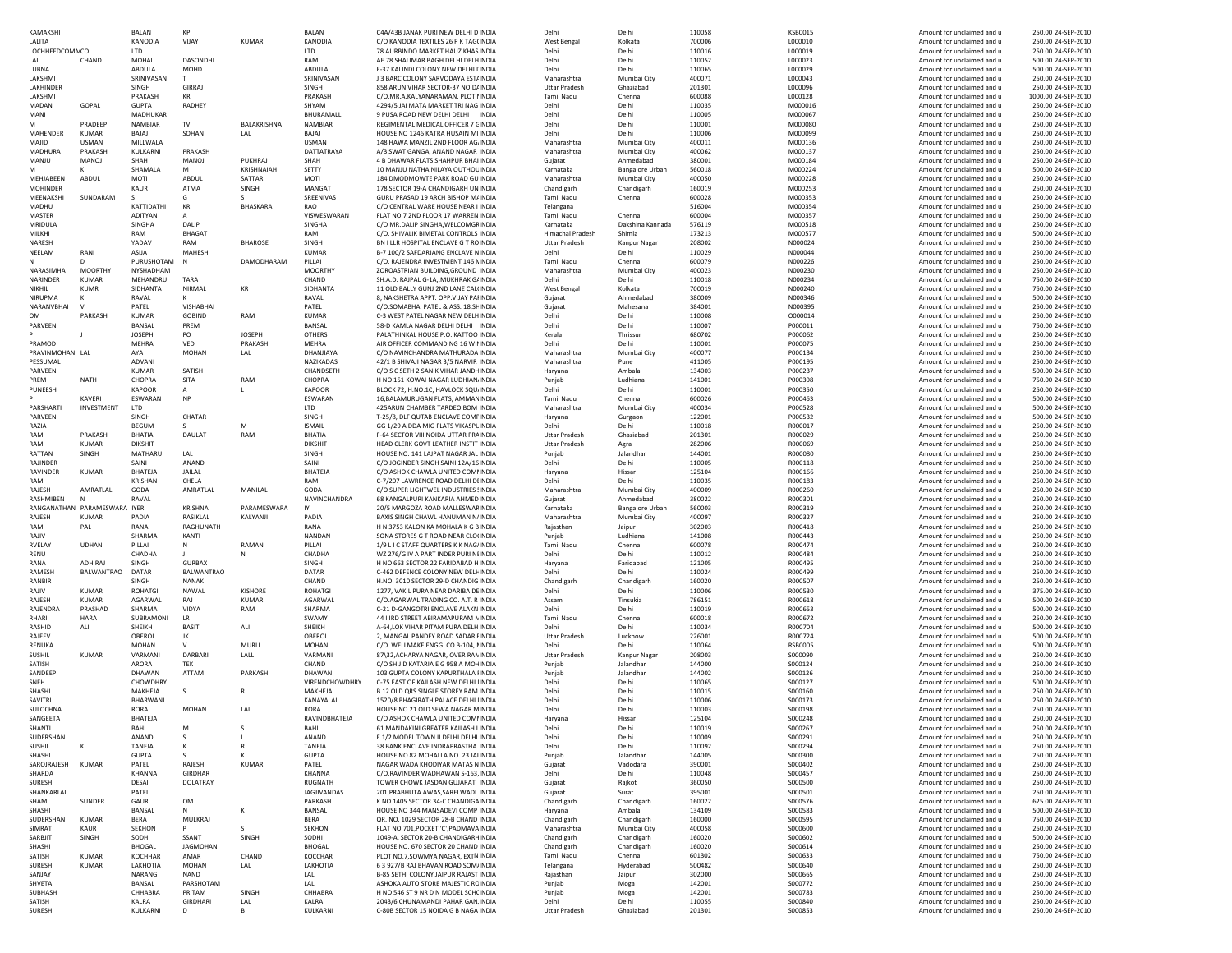| KAMAKSH                    |                              | <b>BALAN</b>           | KP                |                              | BALAN                    | C4A/43B JANAK PURI NEW DELHI D INDIA                                        | Delhi                   | Delh                   | 110058           | <b>KSB0015</b>     | Amount for unclaimed and u                               | 250.00 24-SEP-2010                       |
|----------------------------|------------------------------|------------------------|-------------------|------------------------------|--------------------------|-----------------------------------------------------------------------------|-------------------------|------------------------|------------------|--------------------|----------------------------------------------------------|------------------------------------------|
| LALITA                     |                              | KANODIA                | VIJAY             | KUMAR                        | KANODIA                  | C/O KANODIA TEXTILES 26 P K TAG(INDIA                                       | <b>West Bengal</b>      | Kolkata                | 700006           | L000010            | Amount for unclaimed and u                               | 250.00 24-SEP-2010                       |
| LOCHHEEDCOMN CO            |                              | <b>LTD</b>             |                   |                              | <b>LTD</b>               | 78 AURBINDO MARKET HAUZ KHAS INDIA                                          | Delhi                   | Delhi                  | 110016           | L000019            | Amount for unclaimed and u                               | 250.00 24-SEP-2010                       |
| LAL                        | CHAND                        | <b>MOHAL</b>           | <b>DASONDHI</b>   |                              | RAM                      | AE 78 SHALIMAR BAGH DELHI DELHINDIA                                         | Delhi                   | Delhi                  | 110052           | L000023            | Amount for unclaimed and u                               | 500.00 24-SEP-2010                       |
| LUBNA                      |                              | ABDULA                 | MOHD              |                              | ABDULA                   | E-37 KALINDI COLONY NEW DELHI LINDIA                                        | Delhi                   | Delhi                  | 110065           | L000029            | Amount for unclaimed and u                               | 500.00 24-SEP-2010                       |
| LAKSHMI                    |                              | SRINIVASAN             |                   |                              | SRINIVASAN               | J 3 BARC COLONY SARVODAYA EST/INDIA                                         | Maharashtra             | Mumbai City            | 400071           | L000043            | Amount for unclaimed and u                               | 250.00 24-SEP-2010                       |
| LAKHINDER                  |                              | SINGH                  | <b>GIRRAJ</b>     |                              | SINGH                    | 858 ARUN VIHAR SECTOR-37 NOID/INDIA                                         | <b>Uttar Pradesh</b>    | Ghaziabad              | 201301           | L000096            | Amount for unclaimed and u                               | 250.00 24-SEP-2010                       |
| LAKSHMI                    |                              | PRAKASH                | <b>KR</b>         |                              | PRAKASH                  | C/O.MR.A.KALYANARAMAN, PLOT I INDIA                                         | <b>Tamil Nadu</b>       | Chennai                | 600088           | L000128            | Amount for unclaimed and u                               | 1000.00 24-SEP-2010                      |
| MADAN                      | GOPAL                        | <b>GUPTA</b>           | RADHEY            |                              | SHYAM                    | 4294/5 JAI MATA MARKET TRI NAG INDIA                                        | Delhi                   | Delhi                  | 110035           | M000016            | Amount for unclaimed and u                               | 250.00 24-SEP-2010                       |
| MANI                       |                              | <b>MADHUKAR</b>        |                   |                              | BHURAMALL                | 9 PUSA ROAD NEW DELHI DELHI INDIA                                           | Delhi                   | Delh                   | 110005           | M000067            | Amount for unclaimed and u                               | 250.00 24-SEP-2010                       |
| M                          | PRADEEP                      | <b>NAMBIAR</b>         | TV                | BALAKRISHNA                  | NAMBIAR                  | REGIMENTAL MEDICAL OFFICER 7 CINDIA<br>HOUSE NO 1246 KATRA HUSAIN MI INDIA  | Delhi                   | Delh                   | 110001           | M000080            | Amount for unclaimed and u                               | 250.00 24-SEP-2010                       |
| MAHENDER                   | <b>KUMAR</b>                 | BAJAJ                  | SOHAN             | LAL                          | BAJAJ                    | 148 HAWA MANZIL 2ND FLOOR AG. INDIA                                         | Delhi                   | Delh                   | 110006           | M000099            | Amount for unclaimed and u<br>Amount for unclaimed and u | 250.00 24-SEP-2010<br>250.00 24-SEP-2010 |
| MAJID                      | USMAN                        | MILLWALA               | PRAKASH           |                              | <b>USMAN</b>             |                                                                             | Maharashtra             | Mumbai City            | 400011           | M000136            |                                                          |                                          |
| MADHURA                    | PRAKASH                      | KULKARNI               |                   |                              | DATTATRAYA               | A/3 SWAT GANGA, ANAND NAGAR INDIA                                           | Maharashtra             | Mumbai City            | 400062           | M000137            | Amount for unclaimed and u                               | 250.00 24-SEP-2010                       |
| MANJU                      | MANOJ                        | SHAH<br>SHAMALA        | MANOJ<br>м        | PUKHRAJ<br><b>KRISHNAIAH</b> | SHAH<br>SETTY            | 4 B DHAWAR FLATS SHAHPUR BHAI INDIA<br>10 MANJU NATHA NILAYA OUTHOL INDIA   | Gujarat<br>Karnataka    | Ahmedabad              | 380001<br>560018 | M000184<br>M000224 | Amount for unclaimed and u<br>Amount for unclaimed and u | 250.00 24-SEP-2010<br>500.00 24-SEP-2010 |
| MEHJABEEN                  | ABDUL                        | MOTI                   | ABDUL             | SATTAR                       | <b>MOTI</b>              | 184 DMODMOWTE PARK ROAD GU INDIA                                            | Maharashtra             | <b>Bangalore Urban</b> | 400050           | M000228            | Amount for unclaimed and u                               | 250.00 24-SEP-2010                       |
| <b>MOHINDER</b>            |                              | KAUR                   | ATMA              | SINGH                        | MANGA <sub>1</sub>       | 178 SECTOR 19-A CHANDIGARH UNINDIA                                          | Chandigarh              | Mumbai City            | 160019           | M000253            | Amount for unclaimed and u                               | 250.00 24-SEP-2010                       |
| MEENAKSHI                  | SUNDARAM                     |                        | G                 |                              | SREENIVAS                | GURU PRASAD 19 ARCH BISHOP M/INDIA                                          | Tamil Nadu              | Chandigarh<br>Chennai  | 600028           | M000353            | Amount for unclaimed and u                               | 250.00 24-SEP-2010                       |
| MADHU                      |                              | KATTIDATHI             | KR                | <b>BHASKARA</b>              | <b>RAO</b>               | C/O CENTRAL WARE HOUSE NEAR I INDIA                                         | Telangana               |                        | 516004           | M000354            | Amount for unclaimed and u                               | 250.00 24-SEP-2010                       |
| MASTER                     |                              | <b>ADITYAN</b>         |                   |                              | VISWESWARAN              | FLAT NO.7 2ND FLOOR 17 WARREN INDIA                                         | <b>Tamil Nadu</b>       | Chennai                | 600004           | M000357            | Amount for unclaimed and u                               | 250.00.24-SEP-2010                       |
| MRIDULA                    |                              | SINGHA                 | DALIP             |                              | SINGHA                   | C/O MR.DALIP SINGHA, WELCOMGF INDIA                                         | Karnataka               | Dakshina Kannada       | 576119           | M000518            | Amount for unclaimed and u                               | 250.00 24-SEP-2010                       |
| MILKHI                     |                              | RAM                    | <b>BHAGAT</b>     |                              | RAM                      | C/O. SHIVALIK BIMETAL CONTROLS INDIA                                        | <b>Himachal Pradesh</b> |                        | 173213           | M000577            | Amount for unclaimed and u                               | 500.00 24-SEP-2010                       |
| NARESH                     |                              | YADAV                  | RAM               | <b>BHAROSE</b>               | SINGH                    | BN LLLR HOSPITAL ENCLAVE G T ROINDIA                                        | <b>Uttar Pradesh</b>    | Kanpur Nagar           | 208002           | N000024            | Amount for unclaimed and u                               | 250.00 24-SEP-2010                       |
| NEELAM                     | RANI                         | ASIJA                  | MAHESH            |                              | KUMAR                    | B-7 100/2 SAFDARJANG ENCLAVE NINDIA                                         | Delhi                   | Delh                   | 110029           | N000044            | Amount for unclaimed and u                               | 250.00 24-SEP-2010                       |
|                            |                              | PURUSHOTAM             | $\mathsf{N}$      | DAMODHARAM                   | PILLAI                   | C/O. RAJENDRA INVESTMENT 146 NINDIA                                         | Tamil Nadu              | Chennai                | 600079           | N000226            | Amount for unclaimed and u                               | 250.00 24-SEP-2010                       |
| NARASIMHA                  | <b>MOORTHY</b>               | NYSHADHAM              |                   |                              | <b>MOORTHY</b>           | ZOROASTRIAN BUILDING, GROUND INDIA                                          | Maharashtra             | Mumbai City            | 400023           | N000230            | Amount for unclaimed and u                               | 250.00 24-SEP-2010                       |
| <b>NARINDER</b>            | <b>KUMAR</b>                 | MEHANDRU               | TARA              |                              | CHAND                    | SH.A.D. RAJPAL G-1A,, MUKHRAK G/INDIA                                       | Delhi                   | Delh                   | 110018           | N000234            | Amount for unclaimed and u                               | 750.00 24-SEP-2010                       |
| NIKHII                     | <b>KUMR</b>                  | SIDHANTA               | NIRMAL            | KR                           | SIDHANTA                 | 11 OLD BALLY GUNJ 2ND LANE CAL(INDIA                                        | <b>West Bengal</b>      | Kolkata                | 700019           | N000240            | Amount for unclaimed and u                               | 750.00 24-SEP-2010                       |
| NIRUPMA                    | к                            | RAVAL                  |                   |                              | RAVAL                    | 8. NAKSHETRA APPT, OPP VIJAY PAHNDIA                                        | Gujarat                 | Ahmedabac              | 380009           | N000346            | Amount for unclaimed and u                               | 500.00 24-SEP-2010                       |
| NARANVBHA                  | $\mathbf{v}$                 | PATEL                  | <b>VISHABHAI</b>  |                              | PATEL                    | C/O.SOMABHAI PATEL & ASS. 18,SHINDIA                                        | Gujarat                 | Mahesana               | 384001           | N000395            | Amount for unclaimed and u                               | 250.00 24-SEP-2010                       |
| <b>OM</b>                  | PARKASH                      | <b>KUMAR</b>           | <b>GOBIND</b>     | RAM                          | <b>KUMAR</b>             | C-3 WEST PATEL NAGAR NEW DELHINDIA                                          | Delhi                   | Delhi                  | 110008           | 0000014            | Amount for unclaimed and u                               | 250.00 24-SEP-2010                       |
| PARVEEN                    |                              | BANSAL                 | PREM              |                              | BANSAL                   | 58-D KAMLA NAGAR DELHI DELHI INDIA                                          | Delhi                   | Delhi                  | 110007           | P000011            | Amount for unclaimed and u                               | 750.00 24-SEP-2010                       |
|                            |                              | <b>JOSEPH</b>          | PO                | <b>JOSEPH</b>                | <b>OTHERS</b>            | PALATHINKAL HOUSE P.O. KATTOO INDIA                                         | Kerala                  | Thrissur               | 680702           | P000062            | Amount for unclaimed and u                               | 250.00 24-SEP-2010                       |
| PRAMOD                     |                              | <b>MEHRA</b>           | VED               | PRAKASH                      | <b>MEHRA</b>             | AIR OFFICER COMMANDING 16 WILINDIA                                          | Delhi                   | Delhi                  | 110001           | P000075            | Amount for unclaimed and u                               | 250.00 24-SEP-2010                       |
| PRAVINMOHAN LAI            |                              | AYA                    | MOHAN             | LAL                          | DHANJIAYA                | C/O NAVINCHANDRA MATHURADA INDIA                                            | Maharashtra             | Mumbai City            | 400077           | P000134            | Amount for unclaimed and u                               | 250.00 24-SEP-2010                       |
| PESSUMAL                   |                              | ADVANI                 |                   |                              | NAZIKADAS                | 42/1 B SHIVAII NAGAR 3/5 NARVIR INDIA                                       | Maharashtra             | Pune                   | 411005           | P000195            | Amount for unclaimed and u                               | 250.00 24-SEP-2010                       |
| PARVEEN                    |                              | <b>KUMAR</b>           | SATISH            |                              | CHANDSETH                | C/O S C SETH 2 SANIK VIHAR JANDI INDIA                                      | Haryana                 | Ambala                 | 134003           | P000237            | Amount for unclaimed and u                               | 500.00 24-SEP-2010                       |
| PREM                       | <b>NATH</b>                  | CHOPRA                 | SITA              | RAM                          | CHOPRA                   | H NO 151 KOWAI NAGAR LUDHIAN INDIA                                          | Punjab                  | Ludhiana               | 141001           | P000308            | Amount for unclaimed and u                               | 750.00 24-SEP-2010                       |
| PUNEESH                    |                              | KAPOOR                 | A                 |                              | KAPOOR                   | BLOCK 72, H.NO.1C, HAVLOCK SQU.INDIA                                        | Delhi                   | Delhi                  | 110001           | P000350            | Amount for unclaimed and u                               | 250.00 24-SEP-2010                       |
|                            | KAVERI                       | ESWARAN                | <b>NP</b>         |                              | ESWARAN                  | 16, BALAMURUGAN FLATS, AMMAN INDIA                                          | <b>Tamil Nadu</b>       | Chennai                | 600026           | P000463            | Amount for unclaimed and u                               | 500.00 24-SEP-2010                       |
| PARSHART                   | INVESTMENT                   | LTD                    |                   |                              | LTD                      | 425ARUN CHAMBER TARDEO BOM INDIA                                            | Maharashtra             | Mumbai City            | 400034           | P000528            | Amount for unclaimed and u                               | 500.00 24-SEP-2010                       |
| PARVEEN                    |                              | SINGH                  | CHATAR            |                              | SINGH                    | T-25/8. DLF QUTAB ENCLAVE COMFINDIA                                         | Haryana                 | Gurgaon                | 122001           | P000532            | Amount for unclaimed and u                               | 500.00 24-SEP-2010                       |
| RAZIA                      |                              | <b>BEGUM</b>           | -S                | M                            | <b>ISMAIL</b>            | GG 1/29 A DDA MIG FLATS VIKASPL INDIA                                       | Delhi                   | Delhi                  | 110018           | R000017            | Amount for unclaimed and u                               | 250.00 24-SEP-2010                       |
| RAM                        | PRAKASH                      | BHATIA                 | DAULAT            | RAM                          | <b>BHATIA</b>            | <b>F-64 SECTOR VIII NOIDA UTTAR PRAINDIA</b>                                | <b>Uttar Pradesh</b>    | Ghaziabad              | 201301           | R000029            | Amount for unclaimed and u                               | 250.00.24-SEP-2010                       |
| RAM                        | <b>KUMAR</b>                 | <b>DIKSHIT</b>         |                   |                              | <b>DIKSHIT</b>           | HEAD CLERK GOVT LEATHER INSTIT INDIA                                        | <b>Uttar Pradesh</b>    | Agra                   | 282006           | R000069            | Amount for unclaimed and u                               | 250.00 24-SEP-2010                       |
| RATTAN                     | SINGH                        | MATHARU                | LAL               |                              | SINGH                    | HOUSE NO. 141 LAJPAT NAGAR JAL INDIA                                        | Punjab                  | Jalandhar              | 144001           | R000080            | Amount for unclaimed and u                               | 250.00 24-SEP-2010                       |
| RAJINDEF                   |                              | SAINI                  | ANAND             |                              | SAINI                    | C/O JOGINDER SINGH SAINI 12A/16 INDIA                                       | Delhi                   | Delhi                  | 110005           | R000118            | Amount for unclaimed and u                               | 250.00 24-SEP-2010                       |
| RAVINDER                   | <b>KUMAR</b>                 | BHATEJA                | JAILAL            |                              | BHATEJA                  | C/O ASHOK CHAWLA UNITED COMINDIA                                            | Haryana                 | Hissar                 | 125104           | R000166            | Amount for unclaimed and u                               | 250.00 24-SEP-2010                       |
| RAM                        |                              | <b>KRISHAN</b>         | CHELA             |                              | RAM                      | C-7/207 LAWRENCE ROAD DELHI DIINDIA                                         | Delhi                   | Delhi                  |                  | R000183            | Amount for unclaimed and u                               | 250.00 24-SEP-2010                       |
|                            |                              |                        |                   |                              |                          |                                                                             |                         |                        | 110035           |                    |                                                          |                                          |
| RAJESH                     | AMRATLAL                     | GODA                   | AMRATLAL          | MANILAL                      | GODA                     | C/O SUPER LIGHTWEL INDUSTRIES ! INDIA                                       | Maharashtra             | Mumbai City            | 400009           | R000260            | Amount for unclaimed and u                               | 250.00 24-SEP-2010                       |
| RASHMIBEN                  | N                            | RAVAL                  |                   |                              | NAVINCHANDRA             | 68 KANGALPURI KANKARIA AHMED INDIA                                          | Gujarat                 | Ahmedabac              | 380022           | R000301            | Amount for unclaimed and u                               | 250.00 24-SEP-2010                       |
|                            | RANGANATHAN PARAMESWARA IYER |                        | <b>KRISHNA</b>    | PARAMESWARA                  | IY                       | 20/5 MARGOZA ROAD MALLESWAFINDIA                                            | Karnataka               | <b>Bangalore Urban</b> | 560003           | R000319            | Amount for unclaimed and u                               | 250.00 24-SEP-2010                       |
| RAJESH                     | KUMAR                        | PADIA                  | RASIKLAL          | KALYANJI                     | PADIA                    | BAXIS SINGH CHAWL HANUMAN N/INDIA                                           | Maharashtra             | Mumbai City            | 400097           | R000327            | Amount for unclaimed and u                               | 250.00 24-SEP-2010                       |
| RAM                        | PAL                          | RANA                   | RAGHUNATH         |                              | RANA                     | H N 3753 KALON KA MOHALA K G BINDIA                                         | Rajasthan               | Jaipur                 | 302003           | R000418            | Amount for unclaimed and u                               | 250.00 24-SEP-2010                       |
| RAJIV                      |                              | SHARMA                 | KANTI             |                              | NANDAN                   | SONA STORES G T ROAD NEAR CLOUNDIA                                          | Punjab                  | Ludhiana               | 141008           | R000443            | Amount for unclaimed and u                               | 250.00 24-SEP-2010                       |
| RVELAY                     | <b>UDHAN</b>                 | PILLAI                 | N                 | RAMAN                        | PILLAI                   | 1/9 L I C STAFF QUARTERS K K NAG INDIA                                      | <b>Tamil Nadu</b>       | Chennai                | 600078           | R000474            | Amount for unclaimed and u                               | 250.00 24-SEP-2010                       |
| RENU                       |                              | CHADHA                 |                   | N                            | CHADHA                   | WZ 276/G IV A PART INDER PURI NIINDIA                                       | Delhi                   | Delhi                  | 110012           | R000484            | Amount for unclaimed and u                               | 250.00 24-SEP-2010                       |
| RANA                       | ADHIRAJ                      | SINGH                  | <b>GURBAX</b>     |                              | SINGH                    | H NO 663 SECTOR 22 FARIDABAD HINDIA                                         | Harvana                 | Faridabad              | 121005           | R000495            | Amount for unclaimed and u                               | 250.00 24-SEP-2010                       |
| RAMESH                     | BALWANTRAO                   | DATAR                  | <b>BALWANTRAO</b> |                              | DATAR                    | C-462 DEFENCE COLONY NEW DELI- INDIA                                        | Delhi                   | Delhi                  | 110024           | R000499            | Amount for unclaimed and u                               | 250.00 24-SEP-2010                       |
| RANBIR                     |                              | SINGH                  | <b>NANAK</b>      |                              | CHAND                    | H.NO. 3010 SECTOR 29-D CHANDIG INDIA                                        | Chandigarh              | Chandigarh             | 160020           | R000507            | Amount for unclaimed and u                               | 250.00 24-SEP-2010                       |
| RAJIV                      | <b>KUMAR</b>                 | <b>ROHATGI</b>         | NAWAL             | <b>KISHORE</b>               | ROHATGI                  | 1277, VAKIL PURA NEAR DARIBA DEINDIA                                        | Delhi                   | Delhi                  | 110006           | R000530            | Amount for unclaimed and u                               | 375.00 24-SEP-2010                       |
| RAJESH                     | KUMAR                        | AGARWAL                | RAJ               | <b>KUMAR</b>                 | AGARWAL                  | C/O.AGARWAL TRADING CO. A.T. R INDIA                                        | Assam                   | Tinsukia               | 786151           | R000618            | Amount for unclaimed and u                               | 500.00 24-SEP-2010                       |
| RAJENDRA                   | PRASHAD                      | SHARMA                 | VIDYA             | RAM                          | SHARMA                   | C-21 D-GANGOTRI ENCLAVE ALAKN INDIA                                         | Delhi                   | Delhi                  | 110019           | R000653            | Amount for unclaimed and u                               | 500.00 24-SEP-2010                       |
| RHARI                      | HARA                         | SUBRAMONI              | <b>LR</b>         |                              | SWAMY                    | 44 IIIRD STREET ABIRAMAPURAM N INDIA                                        | Tamil Nadu              | Chennai                | 600018           | R000672            | Amount for unclaimed and u                               | 250.00 24-SEP-2010                       |
| RASHID                     | ALI                          | SHEIKH                 | <b>BASIT</b>      | ALI                          | SHEIKH                   | A-64, LOK VIHAR PITAM PURA DELH INDIA                                       | Delhi                   | Delhi                  | 110034           | R000704            | Amount for unclaimed and u                               | 500.00 24-SEP-2010                       |
| RAJEEV                     |                              | <b>OBEROI</b>          | IK                |                              | <b>OBEROI</b>            | 2, MANGAL PANDEY ROAD SADAR I INDIA                                         | <b>Uttar Pradesh</b>    | Lucknow                | 226001           | R000724            | Amount for unclaimed and u                               | 500.00 24-SEP-2010                       |
| RENUKA                     |                              | <b>MOHAN</b>           | $\mathbf{v}$      | MURL                         | <b>MOHAN</b>             | C/O. WELLMAKE ENGG. CO B-104. I INDIA                                       | Delhi                   | Delhi                  | 110064           | <b>RSB0005</b>     | Amount for unclaimed and u                               | 500.00 24-SEP-2010                       |
| SUSHIL                     | <b>KUMAR</b>                 | VARMANI                | DARBARI           | LALL                         | VARMANI                  | 87\32.ACHARYA NAGAR, OVER RAN INDIA                                         | <b>Uttar Pradesh</b>    | Kanpur Nagar           | 208003           | S000090            | Amount for unclaimed and u                               | 250.00.24-SEP-2010                       |
| SATISH                     |                              | ARORA                  | <b>TEK</b>        |                              | CHAND                    | C/O SH J D KATARIA E G 958 A MOI INDIA                                      | Puniab                  | Jalandhar              | 144000           | S000124            | Amount for unclaimed and u                               | 250.00.24-SEP-2010                       |
| SANDEER                    |                              | DHAWAN                 | ATTAM             | PARKASH                      | DHAWAN                   | 103 GUPTA COLONY KAPURTHALA IINDIA                                          | Puniab                  | Jalandhar              | 144002           | S000126            | Amount for unclaimed and u                               | 250.00 24-SEP-2010                       |
| SNEH                       |                              | CHOWDHRY               |                   |                              | VIRENDCHOWDHRY           | C-75 EAST OF KAILASH NEW DELHI IINDIA                                       | Delhi                   | Delh                   | 110065           | S000127            | Amount for unclaimed and u                               | 500.00 24-SEP-2010                       |
| SHASHI                     |                              | MAKHEJA                | s                 | R                            | MAKHEJA                  | B 12 OLD ORS SINGLE STOREY RAM INDIA                                        | Delhi                   | Delh                   | 110015           | S000160            | Amount for unclaimed and u                               | 250.00 24-SEP-2010                       |
| SAVITRI                    |                              | BHARWANI               |                   |                              | KANAYALAI<br><b>RORA</b> | 1520/8 BHAGIRATH PALACE DELHI IINDIA                                        | Delhi                   | Delh                   | 110006           | S000173            | Amount for unclaimed and u                               | 250.00 24-SEP-2010                       |
| SULOCHNA                   |                              | <b>RORA</b><br>BHATEJA | <b>MOHAN</b>      | LAL                          | RAVINDBHATEJA            | HOUSE NO 21 OLD SEWA NAGAR MINDIA                                           | Delhi                   | Delhi                  | 110003<br>125104 | S000198            | Amount for unclaimed and u                               | 250.00 24-SEP-2010                       |
| SANGEETA                   |                              |                        |                   |                              |                          | C/O ASHOK CHAWLA UNITED COMHNDIA                                            | Haryana                 | Hissar                 |                  | S000248            | Amount for unclaimed and u                               | 250.00 24-SEP-2010                       |
| SHANTI                     |                              |                        |                   |                              |                          | 61 MANDAKINI GREATER KAILASH I INDIJ                                        |                         |                        | 110019           | S000261            |                                                          | 250.00 24-SEP-2010                       |
| SUDERSHAN<br><b>SUSHIL</b> |                              | ANAND<br>TANEJA        | S<br>к            | R                            | ANAND<br>TANEJA          | E 1/2 MODEL TOWN II DELHI DELHI INDIA<br>38 BANK ENCLAVE INDRAPRASTHA INDIA | Delhi<br>Delhi          | Delhi<br>Delhi         | 110009<br>110092 | S000291<br>S000294 | Amount for unclaimed and u<br>Amount for unclaimed and u | 250.00 24-SEP-2010<br>250.00 24-SEP-2010 |
| SHASHI                     |                              | <b>GUPTA</b>           | s                 |                              | <b>GUPTA</b>             | HOUSE NO 82 MOHALLA NO. 23 JAI INDIA                                        | Punjab                  | Jalandhar              | 144005           | S000300            | Amount for unclaimed and u                               | 250.00 24-SEP-2010                       |
| SAROJRAJESH                | <b>KUMAR</b>                 | PATEL                  | RAJESH            | <b>KUMAR</b>                 | PATEL                    | NAGAR WADA KHODIYAR MATAS NINDIA                                            | Gujarat                 |                        | 390001           | S000402            | Amount for unclaimed and u                               | 250.00 24-SEP-2010                       |
| SHARDA                     |                              | <b>KHANNA</b>          | GIRDHAR           |                              | <b>KHANNA</b>            | C/O.RAVINDER WADHAWAN S-163. INDIA                                          | Delhi                   | Vadodara<br>Delhi      | 110048           | S000457            | Amount for unclaimed and u                               | 250.00 24-SEP-2010                       |
| SURESH                     |                              | DESAI                  | DOLATRAY          |                              | RUGNATH                  | TOWER CHOWK JASDAN GUJARAT INDIA                                            | Gujarat                 | Rajkot                 | 360050           | S000500            | Amount for unclaimed and u                               | 250.00 24-SEP-2010                       |
| SHANKARI AI                |                              | PATEL                  |                   |                              | JAGJIVANDAS              | 201, PRABHUTA AWAS, SARELWADI INDIA                                         | Guiarat                 | Surat                  | 395001           | S000501            | Amount for unclaimed and u                               | 250.00 24-SEP-2010                       |
| SHAM                       | SUNDER                       | GAUR                   | OM                |                              | PARKASH                  | K NO 1405 SECTOR 34-C CHANDIGA INDIA                                        | Chandigarh              | Chandigarh             | 160022           | S000576            | Amount for unclaimed and u                               | 625.00 24-SEP-2010                       |
| SHASHI                     |                              | BANSAL                 | N                 | К                            | BANSAL                   | HOUSE NO 344 MANSADEVI COMP INDIA                                           | Haryana                 | Ambala                 | 134109           | S000583            | Amount for unclaimed and u                               | 500.00 24-SEP-2010                       |
| SUDERSHAN                  | <b>KUMAR</b>                 | <b>BERA</b>            | MULKRAJ           |                              | <b>BERA</b>              | QR. NO. 1029 SECTOR 28-B CHAND INDIA                                        | Chandigarh              | Chandigarh             | 160000           | S000595            | Amount for unclaimed and u                               | 750.00 24-SEP-2010                       |
| SIMRAT                     | KAUR                         | <b>SEKHON</b>          | p                 | s                            | SEKHON                   | FLAT NO.701, POCKET 'C', PADMAVAINDIA                                       | Maharashtra             | Mumbai City            | 400058           | S000600            | Amount for unclaimed and u                               | 250.00 24-SEP-2010                       |
| SARBJIT                    | SINGH                        | SODHI                  | SSANT             | SINGH                        | SODHI                    | 1049-A, SECTOR 20-B CHANDIGARH INDIA                                        | Chandigarh              | Chandigarh             | 160020           | S000602            | Amount for unclaimed and u                               | 500.00 24-SEP-2010                       |
| SHASHI                     |                              | BHOGAL                 | JAGMOHAN          |                              | <b>BHOGAL</b>            | HOUSE NO. 670 SECTOR 20 CHAND INDIA                                         | Chandigarh              | Chandigarh             | 160020           | S000614            | Amount for unclaimed and u                               | 250.00 24-SEP-2010                       |
| SATISH                     | <b>KUMAR</b>                 | <b>KOCHHAF</b>         | AMAR              | CHAND                        | KOCCHAR                  | PLOT NO.7, SOWMYA NAGAR, EXTN INDIA                                         | Tamil Nadu              | Chennai                | 601302           | S000633            | Amount for unclaimed and u                               | 750.00 24-SEP-2010                       |
| SURESH                     | KUMAF                        | LAKHOTIA               | MOHAN             | LAL                          | LAKHOTIA                 | 6 3 927/B RAJ BHAVAN ROAD SOM/ INDIA                                        | Telangana               | Hyderabad              | 500482           | S000640            | Amount for unclaimed and u                               | 250.00 24-SEP-2010                       |
| SANJAY                     |                              | NARANG                 | <b>NAND</b>       |                              | LAL                      | B-85 SETHI COLONY JAIPUR RAJAST INDIA                                       | Rajasthan               | Jaipur                 | 302000           | S000665            | Amount for unclaimed and u                               | 250.00 24-SEP-2010                       |
| SHVETA                     |                              | BANSAL                 | PARSHOTAM         |                              | LAL                      | ASHOKA AUTO STORE MAJESTIC RC INDIA                                         | Punjab                  | Moga                   | 142001           | S000772            | Amount for unclaimed and u                               | 250.00 24-SEP-2010                       |
| SUBHASH                    |                              | CHHABRA                | PRITAM            | SINGH                        | CHHABRA                  | H NO 546 ST 9 NR D N MODEL SCH(INDIA                                        | Punjab                  | Moga                   | 142001           | S000783            | Amount for unclaimed and u                               | 250.00 24-SEP-2010                       |
| SATISH<br>SURESH           |                              | KALRA<br>KULKARNI      | GIRDHARI<br>D     | LAL<br>B                     | KALRA<br>KULKARNI        | 2043/6 CHUNAMANDI PAHAR GAN INDIA<br>C-80B SECTOR 15 NOIDA G B NAGA INDIA   | Delhi<br>Uttar Pradesh  | Delhi<br>Ghaziabad     | 110055<br>201301 | S000840<br>S000853 | Amount for unclaimed and u<br>Amount for unclaimed and u | 250.00 24-SEP-2010<br>250.00 24-SEP-2010 |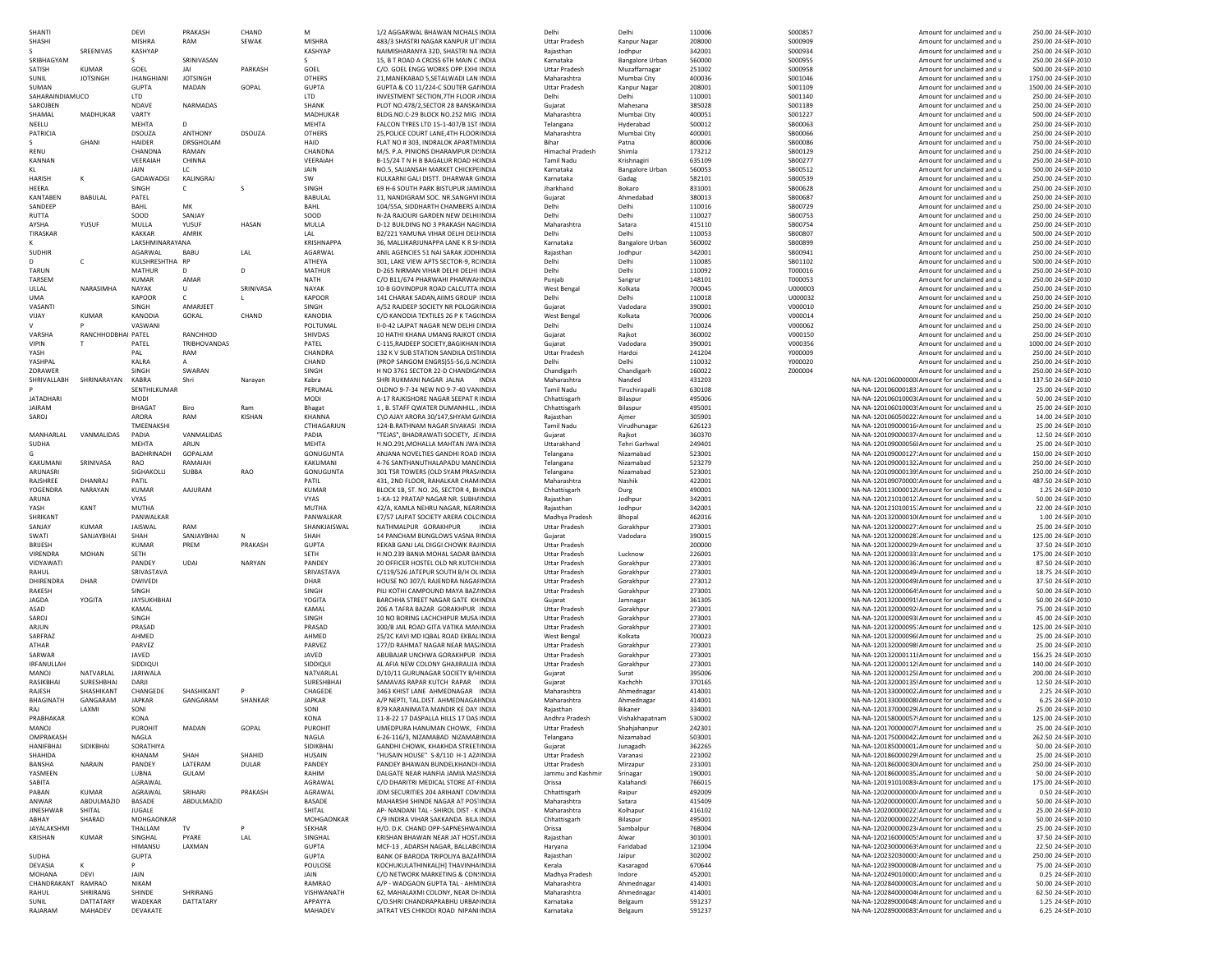| SHANTI                      |                    | <b>DEVI</b>        | PRAKASH         | CHAND         | M                       | 1/2 AGGARWAL BHAWAN NICHALS INDIA                                              | Delhi                                        | Delhi                                  | 110006           | S000857            | Amount for unclaimed and u                                                                       | 250.00 24-SEP-2010                       |
|-----------------------------|--------------------|--------------------|-----------------|---------------|-------------------------|--------------------------------------------------------------------------------|----------------------------------------------|----------------------------------------|------------------|--------------------|--------------------------------------------------------------------------------------------------|------------------------------------------|
| SHASHI                      |                    | <b>MISHRA</b>      | RAM             | SEWAK         | <b>MISHRA</b>           | 483/3 SHASTRI NAGAR KANPUR UT INDIA                                            | <b>Uttar Pradesh</b>                         | Kanpur Nagar                           | 208000           | S000909            | Amount for unclaimed and u                                                                       | 250.00 24-SEP-2010                       |
| SRIBHAGYAN                  | SREENIVAS          | <b>KASHYAP</b>     | SRINIVASAN      |               | KASHYAP                 | NAIMISHARANYA 32D, SHASTRI NA INDIA<br>15, B T ROAD A CROSS 6TH MAIN C INDIA   | Rajasthan                                    | Jodhour                                | 342001           | S000934            | Amount for unclaimed and u                                                                       | 250.00 24-SEP-2010                       |
| SATISH                      | <b>KUMAR</b>       | s<br>GOEL          | JAI             | PARKASH       | s<br>GOEL               | C/O. GOEL ENGG WORKS OPP.EXHI INDIA                                            | Karnataka<br><b>Uttar Pradesh</b>            | <b>Bangalore Urban</b><br>Muzaffarnaga | 560000<br>251002 | S000955<br>S000958 | Amount for unclaimed and u<br>Amount for unclaimed and u                                         | 250.00 24-SEP-2010<br>500.00 24-SEP-2010 |
| SUNIL                       | <b>JOTSINGH</b>    | <b>JHANGHIANI</b>  | <b>JOTSINGH</b> |               | OTHERS                  | 21, MANEKABAD 5, SETALWADI LAN INDIA                                           | Maharashtra                                  | Mumbai City                            | 400036           | S001046            | Amount for unclaimed and u                                                                       | 1750.00 24-SEP-2010                      |
| SUMAN                       |                    | <b>GUPTA</b>       | MADAN           | GOPAL         | <b>GUPTA</b>            | GUPTA & CO 11/224-C SOUTER GAI INDIA                                           | <b>Uttar Pradesh</b>                         | Kanpur Nagar                           | 208001           | S001109            | Amount for unclaimed and u                                                                       | 1500.00 24-SEP-2010                      |
| SAHARAINDIAMUCO             |                    | <b>LTD</b>         |                 |               | LTD                     | INVESTMENT SECTION. 7TH FLOOR JINDIA                                           | Delhi                                        | Delhi                                  | 110001           | S001140            | Amount for unclaimed and u                                                                       | 250.00 24-SEP-2010                       |
| SAROJBEN                    |                    | NDAVE              | NARMADAS        |               | SHANK                   | PLOT NO.478/2.SECTOR 28 BANSKA INDIA                                           | Gujarat                                      | Mahesana                               | 385028           | S001189            | Amount for unclaimed and u                                                                       | 250.00 24-SEP-2010                       |
| SHAMAL                      | MADHUKAR           | VARTY              |                 |               | MADHUKAR                | BLDG.NO.C-29 BLOCK NO.252 MIG INDIA                                            | Maharashtra                                  | Mumbai City                            | 400051           | S001227            | Amount for unclaimed and u                                                                       | 500.00 24-SEP-2010                       |
| NEELU                       |                    | MEHTA              | D               |               | <b>MEHTA</b>            | FAICON TYRES ITD 15-1-407/B 1ST INDIA                                          | Telangana                                    | Hyderabad                              | 500012           | SB00063            | Amount for unclaimed and u                                                                       | 250.00 24-SEP-2010                       |
| PATRICIA                    |                    | <b>DSOUZA</b>      | <b>ANTHONY</b>  | <b>DSOUZA</b> | <b>OTHERS</b>           | 25, POLICE COURT LANE, 4TH FLOOR INDIA                                         | Maharashtra                                  | Mumbai City                            | 400001           | SB00066            | Amount for unclaimed and u                                                                       | 250.00 24-SEP-2010                       |
|                             | <b>GHANI</b>       | HAIDER             | DRSGHOLAM       |               | HAID                    | FLAT NO #303, INDRALOK APARTMINDIA                                             | Bihar                                        | Patna                                  | 800006           | SB00086            | Amount for unclaimed and u                                                                       | 750.00 24-SEP-2010                       |
| <b>RENU</b>                 |                    | CHANDNA            | RAMAN           |               | CHANDNA                 | M/S. P.A. PINIONS DHARAMPUR DI: INDIA                                          | <b>Himachal Pradesh</b>                      | Shimla                                 | 173212           | SB00129            | Amount for unclaimed and u                                                                       | 250.00 24-SEP-2010                       |
| <b>KANNAN</b>               |                    | VEERAIAH           | CHINNA          |               | VEERAIAH                | B-15/24 T N H B BAGALUR ROAD H(INDIA                                           | <b>Tamil Nadu</b>                            | Krishnagiri                            | 635109           | SB00277            | Amount for unclaimed and u                                                                       | 250.00 24-SEP-2010                       |
| KL                          |                    | JAIN               | LC              |               | JAIN                    | NO.5, SAJJANSAH MARKET CHICKPEINDIA                                            | Karnataka                                    | <b>Bangalore Urban</b>                 | 560053           | SB00512            | Amount for unclaimed and u                                                                       | 500.00 24-SEP-2010                       |
| HARISH                      |                    | GADAWADGI          | KALINGRAJ       |               | SW                      | KULKARNI GALI DISTT. DHARWAR GINDIA                                            | Karnataka                                    | Gadag                                  | 582101           | SB00539            | Amount for unclaimed and u                                                                       | 250.00 24-SEP-2010                       |
| HEERA                       |                    | SINGH              | с               | s             | SINGH                   | 69 H-6 SOUTH PARK BISTUPUR JAMINDIA                                            | Jharkhand                                    | Bokaro                                 | 831001           | SB00628            | Amount for unclaimed and u                                                                       | 250.00 24-SEP-2010                       |
| <b>KANTABEN</b>             | BABULAL            | PATEL              |                 |               | BABULAI                 | 11, NANDIGRAM SOC. NR.SANGHVIINDIA                                             | Gujarat                                      | Ahmedabad                              | 380013           | SB00687            | Amount for unclaimed and u                                                                       | 250.00 24-SEP-2010                       |
| SANDEEP                     |                    | BAHL               | MK              |               | BAHL                    | 104/55A, SIDDHARTH CHAMBERS AINDIA                                             | Delhi                                        | Delhi                                  | 110016           | SB00729            | Amount for unclaimed and u                                                                       | 250.00 24-SEP-2010                       |
| RUTTA                       |                    | SOOD               | SANJAY          |               | SOOD                    | N-2A RAJOURI GARDEN NEW DELHIINDIA                                             | Delhi                                        | Delhi                                  | 110027           | SB00753            | Amount for unclaimed and u                                                                       | 250.00 24-SEP-2010                       |
| AYSHA                       | YUSUF              | MULLA              | YUSUF           | HASAN         | MULLA                   | D-12 BUILDING NO 3 PRAKASH NACINDIA                                            | Maharashtra                                  | Satara                                 | 415110           | SB00754            | Amount for unclaimed and u                                                                       | 250.00 24-SEP-2010                       |
| <b>TIRASKAR</b>             |                    | KAKKAR             | AMRIK           |               | LAL                     | B2/221 YAMUNA VIHAR DELHI DELHINDIA                                            | Delhi                                        | Delhi                                  | 110053           | SB00807            | Amount for unclaimed and u                                                                       | 500.00 24-SEP-2010                       |
|                             |                    | LAKSHMINARAYANA    |                 |               | <b>KRISHNAPPA</b>       | 36, MALLIKARJUNAPPA LANE K R SHINDIA                                           | Karnataka                                    | <b>Bangalore Urban</b>                 | 560002           | SB00899            | Amount for unclaimed and u                                                                       | 250.00 24-SEP-2010                       |
| <b>SUDHIR</b>               |                    | AGARWAL            | BABU            | LAL           | AGARWAL                 | ANIL AGENCIES 51 NAI SARAK JODH INDIA                                          | Rajasthar                                    | Jodhpur                                | 342001           | SB00941            | Amount for unclaimed and u                                                                       | 250.00 24-SEP-2010                       |
|                             | c                  | KULSHRESHTHA RP    |                 |               | ATHEYA                  | 301, LAKE VIEW APTS SECTOR-9, RCINDIA                                          | Delhi                                        | Delhi                                  | 110085           | SB01102            | Amount for unclaimed and u                                                                       | 500.00 24-SEP-2010                       |
| <b>TARUN</b>                |                    | <b>MATHUR</b>      | D               | D             | <b>MATHUR</b>           | D-265 NIRMAN VIHAR DELHI DELHI INDIA                                           | Delhi                                        | Delhi                                  | 110092           | T000016            | Amount for unclaimed and u                                                                       | 250.00 24-SEP-2010                       |
| TARSEM                      |                    | <b>KUMAR</b>       | AMAR            |               | <b>NATH</b>             | C/O B11/674 PHARWAHI PHARWAHNDIA                                               | Punjab                                       | Sangrur                                | 148101           | T000053            | Amount for unclaimed and u                                                                       | 250.00 24-SEP-2010                       |
| ULLAL                       | NARASIMHA          | <b>NAYAK</b>       | U               | SRINIVASA     | NAYAK                   | 10-B GOVINDPUR ROAD CALCUTTA INDIA                                             | West Bengal                                  | Kolkata                                | 700045           | U000003            | Amount for unclaimed and u                                                                       | 250.00 24-SEP-2010                       |
| UMA                         |                    | KAPOOR             | c               |               | KAPOOR                  | 141 CHARAK SADAN, AIIMS GROUP INDIA                                            | Delhi                                        | Delhi                                  | 110018           | U000032            | Amount for unclaimed and u                                                                       | 250.00 24-SEP-2010                       |
| VASANTI                     | <b>KUMAR</b>       | SINGH              | AMARJEET        | CHAND         | SINGH<br>KANODIA        | A/52 RAJDEEP SOCIETY NR POLOGRINDIA                                            | Gujarat                                      | Vadodara<br>Kolkata                    | 390001<br>700006 | V000010<br>V000014 | Amount for unclaimed and u                                                                       | 250.00 24-SEP-2010<br>250.00 24-SEP-2010 |
| VIJAY                       |                    | KANODIA<br>VASWANI | <b>GOKAL</b>    |               | POLTUMAL                | C/O KANODIA TEXTILES 26 P K TAG(INDIA<br>II-0-42 LAIPAT NAGAR NEW DELHI LINDIA | <b>West Bengal</b><br>Delhi                  | Delhi                                  | 110024           | V000062            | Amount for unclaimed and u                                                                       |                                          |
| VARSHA                      |                    |                    | RANCHHOD        |               | SHIVDAS                 |                                                                                |                                              |                                        | 360002           | V000150            | Amount for unclaimed and u                                                                       | 250.00 24-SEP-2010<br>250.00 24-SEP-2010 |
| <b>VIPIN</b>                | RANCHHODBHAI PATEL | PATEL              | TRIBHOVANDAS    |               | PATEL                   | 10 HATHI KHANA UMANG RAJKOT (INDIA<br>C-115.RAJDEEP SOCIETY.BAGIKHAN INDIA     | Gujarat<br>Guiarat                           | Raikot<br>Vadodara                     | 390001           | V000356            | Amount for unclaimed and u<br>Amount for unclaimed and u                                         | 1000.00 24-SEP-2010                      |
| YASH                        |                    | PAL                | RAM             |               | CHANDRA                 | 132 K V SUB STATION SANDILA DISTINDIA                                          | <b>Uttar Pradesh</b>                         | Hardoi                                 | 241204           | Y000009            | Amount for unclaimed and u                                                                       | 250.00 24-SEP-2010                       |
| YASHPAL                     |                    | KALRA              | A               |               | CHAND                   | (PROP SANGOM ENGRS)55-56.G.NCINDIA                                             | Delhi                                        | Delhi                                  | 110032           | Y000020            | Amount for unclaimed and u                                                                       | 250.00 24-SEP-2010                       |
| ZORAWER                     |                    | SINGH              | SWARAN          |               | SINGH                   | H NO 3761 SECTOR 22-D CHANDIG/INDIA                                            | Chandigarh                                   | Chandigarh                             | 160022           | Z000004            | Amount for unclaimed and u                                                                       | 250.00 24-SEP-2010                       |
| SHRIVALLABH                 | SHRINARAYAN        | <b>KABRA</b>       | Shri            | Narayan       | Kabra                   | SHRI RUKMANI NAGAR JALNA<br><b>INDIA</b>                                       | Maharashtra                                  | Nanded                                 | 431203           |                    | NA-NA-120106000000 Amount for unclaimed and u                                                    | 137.50 24-SEP-2010                       |
|                             |                    | SENTHILKUMAR       |                 |               | PERUMAL                 | OLDNO 9-7-34 NEW NO 9-7-40 VAN INDIA                                           | <b>Tamil Nadu</b>                            | Tiruchirapalli                         | 630108           |                    | NA-NA-120106000183: Amount for unclaimed and u                                                   | 25.00 24-SEP-2010                        |
| <b>JATADHARI</b>            |                    | MODI               |                 |               | MODI                    | A-17 RAJKISHORE NAGAR SEEPAT R INDIA                                           | Chhattisgarh                                 | Bilaspur                               | 495006           |                    | NA-NA-120106010003 Amount for unclaimed and u                                                    | 50.00 24-SEP-2010                        |
| <b>JAIRAM</b>               |                    | BHAGAT             | Biro            | Ram           | <b>Bhagat</b>           | 1, B. STAFF QWATER DUMANHILL, INDIA                                            | Chhattisgarh                                 | Bilaspur                               | 495001           |                    | NA-NA-120106010003! Amount for unclaimed and u                                                   | 25.00 24-SEP-2010                        |
| SAROJ                       |                    | ARORA              | RAM             | <b>KISHAN</b> | KHANNA                  | C\O AJAY ARORA 30/147, SHYAM G/ INDIA                                          | Rajasthan                                    | Ajmer                                  | 305901           |                    | NA-NA-120106050022. Amount for unclaimed and u                                                   | 14.00 24-SEP-2010                        |
|                             |                    | TMEENAKSH          |                 |               | CTHIAGARJUN             | 124-B.RATHNAM NAGAR SIVAKASI INDIA                                             | Tamil Nadu                                   | Virudhunaga                            | 626123           |                    | NA-NA-120109000016 Amount for unclaimed and u                                                    | 25.00 24-SEP-2010                        |
| MANHARLAL                   | VANMALIDAS         | PADIA              | VANMALIDAS      |               | PADIA                   | "TEJAS", BHADRAWATI SOCIETY, JEINDIA                                           | Gujarat                                      | Rajkot                                 | 360370           |                    | NA-NA-120109000037. Amount for unclaimed and u                                                   | 12.50 24-SEP-2010                        |
| SUDHA                       |                    | <b>MEHTA</b>       | ARUN            |               | <b>MFHTA</b>            | H.NO.291.MOHALLA MAHTAN JWA INDIA                                              | Uttarakhand                                  | <b>Tehri Garhwal</b>                   | 249401           |                    | NA-NA-120109000056! Amount for unclaimed and u                                                   | 25.00.24-SEP-2010                        |
| G                           |                    | <b>BADHRINADH</b>  | GOPALAM         |               | GONUGUNTA               | ANIANA NOVELTIES GANDHI ROAD INDIA                                             | Telangana                                    | Nizamabad                              | 523001           |                    | NA-NA-120109000127: Amount for unclaimed and u                                                   | 150.00 24-SEP-2010                       |
| KAKUMANI                    | SRINIVASA          | RAO                | RAMAIAH         |               | KAKUMANI                | 4-76 SANTHANUTHAI APADU MANUNDIA                                               | Telangana                                    | Nizamabad                              | 523279           |                    | NA-NA-120109000132. Amount for unclaimed and u                                                   | 250.00 24-SEP-2010                       |
| ARUNASRI                    |                    | SIGHAKOLLI         | SUBBA           | RAO           | GONUGUNTA               | 301 TSR TOWERS (OLD SYAM PRAS/INDIA                                            | Telangana                                    | Nizamabad                              | 523001           |                    | NA-NA-120109000139! Amount for unclaimed and u                                                   | 250.00 24-SEP-2010                       |
| RAJSHREE                    | DHANRAJ            | PATIL              |                 |               | PATI                    | 431, 2ND FLOOR, RAHALKAR CHAM INDIA                                            | Maharashtra                                  | Nashik                                 | 422001           |                    | NA-NA-120109070000: Amount for unclaimed and u                                                   | 487.50 24-SEP-2010                       |
| YOGENDRA                    | NARAYAN            | <b>KUMAR</b>       | AAJURAM         |               | <b>KUMAR</b>            | BLOCK 1B, ST. NO. 26, SECTOR 4, BHNDIA                                         | Chhattisgarh                                 | Durg                                   | 490001           |                    | NA-NA-120113000012 Amount for unclaimed and u                                                    | 1.25 24-SEP-2010                         |
| ARUNA                       |                    | <b>VYAS</b>        |                 |               | <b>VYAS</b>             | 1-KA-12 PRATAP NAGAR NR. SUBH/INDIA                                            | Rajasthan                                    | Jodhpur                                | 342001           |                    | NA-NA-120121010012 Amount for unclaimed and u                                                    | 50.00 24-SEP-2010                        |
| YASH                        | KANT               | MUTHA              |                 |               | <b>MUTHA</b>            | 42/A. KAMLA NEHRU NAGAR. NEAFINDIA                                             | Raiasthan                                    | Jodhpur                                | 342001           |                    | NA-NA-120121010015: Amount for unclaimed and u                                                   | 22.00 24-SEP-2010                        |
| SHRIKANT                    |                    | PANWALKAR          |                 |               | PANWALKAR               | E7/57 LAJPAT SOCIETY ARERA COLCINDIA                                           | Madhya Pradesh                               | Bhopal                                 | 462016           |                    | NA-NA-120132000010 Amount for unclaimed and u                                                    | 1.00 24-SEP-2010                         |
| SANJAY                      | <b>KUMAR</b>       | JAISWAL            | RAM             |               | SHANKJAISWAL            | NATHMALPUR GORAKHPUR<br>INDIA                                                  | <b>Uttar Pradesh</b>                         | Gorakhpur                              | 273001           |                    | NA-NA-120132000027: Amount for unclaimed and u                                                   | 25.00 24-SEP-2010                        |
| SWATI                       | SANJAYBHAI         | SHAH               | SANJAYBHAI      | N             | SHAH                    | 14 PANCHAM BUNGLOWS VASNA FINDIA                                               | Gujarat                                      | Vadodara                               | 390015           |                    | NA-NA-120132000028' Amount for unclaimed and u                                                   | 125.00 24-SEP-2010                       |
| BRIJESH                     |                    | <b>KUMAR</b>       | PREM            | PRAKASH       | <b>GUPTA</b>            | REKAB GANJ LAL DIGGI CHOWK RAJINDIA                                            | <b>Uttar Pradesh</b>                         |                                        | 200000           |                    | NA-NA-120132000029 Amount for unclaimed and u                                                    | 37.50 24-SEP-2010                        |
| VIRENDRA                    | MOHAN              | <b>SETH</b>        |                 |               | <b>SETH</b>             | H.NO.239 BANIA MOHAL SADAR BAINDIA                                             | <b>Uttar Pradesh</b>                         | Lucknow                                | 226001           |                    | NA-NA-120132000033. Amount for unclaimed and u                                                   | 175.00 24-SEP-2010                       |
| VIDYAWATI                   |                    | PANDEY             | UDAI            | NARYAN        | PANDEY                  | 20 OFFICER HOSTEL OLD NR.KUTCH INDIA                                           | <b>Uttar Pradesh</b>                         | Gorakhpur                              | 273001           |                    | NA-NA-120132000036: Amount for unclaimed and u                                                   | 87.50 24-SEP-2010                        |
| RAHUL                       |                    | SRIVASTAVA         |                 |               | SRIVASTAVA              | C/119/526 JATEPUR SOUTH B/H OL INDIA                                           | <b>Uttar Pradesh</b>                         | Gorakhour                              | 273001           |                    | NA-NA-120132000049 Amount for unclaimed and u                                                    | 18.75 24-SEP-2010                        |
| DHIRENDRA                   | DHAR               | <b>DWIVEDI</b>     |                 |               | DHAR                    | HOUSE NO 307/L RAJENDRA NAGAHNDIA                                              | <b>Uttar Pradesh</b>                         | Gorakhour                              | 273012           |                    | NA-NA-120132000049 Amount for unclaimed and u                                                    | 37.50 24-SEP-2010                        |
| RAKESH                      |                    | SINGH              |                 |               | SINGH                   | PILI KOTHI CAMPOUND MAYA BAZ/INDIA                                             | <b>Uttar Pradesh</b>                         | Gorakhour                              | 273001           |                    | NA-NA-120132000064! Amount for unclaimed and u                                                   | 50.00 24-SEP-2010                        |
| <b>JAGDA</b>                | YOGITA             | <b>JAYSUKHBHAI</b> |                 |               | YOGITA                  | BARCHHA STREET NAGAR GATE KHINDIA                                              | Gujarat                                      | Jamnagar                               | 361305           |                    | NA-NA-120132000091! Amount for unclaimed and u                                                   | 50.00 24-SEP-2010                        |
| ASAD                        |                    | KAMAL              |                 |               | KAMAL                   | 206 A TAFRA BAZAR GORAKHPUR INDIA                                              | <b>Uttar Pradesh</b>                         | Gorakhpur                              | 273001           |                    | NA-NA-120132000092. Amount for unclaimed and u                                                   | 75.00 24-SEP-2010                        |
| SAROJ<br>ARJUN              |                    | SINGH<br>PRASAD    |                 |               | SINGH<br>PRASAD         | 10 NO BORING LACHCHIPUR MUSA INDIA<br>300/B JAIL ROAD GITA VATIKA MAN INDIA    | <b>Uttar Pradesh</b><br><b>Uttar Pradesh</b> | Gorakhpur<br>Gorakhpur                 | 273001<br>273001 |                    | NA-NA-120132000093 Amount for unclaimed and u<br>NA-NA-120132000095: Amount for unclaimed and u  | 45.00 24-SEP-2010<br>125.00 24-SEP-2010  |
| SARFRAZ                     |                    | AHMED              |                 |               | AHMED                   | 25/2C KAVI MD IQBAL ROAD EKBAL INDIA                                           | <b>West Bengal</b>                           | Kolkata                                | 700023           |                    | NA-NA-120132000096 Amount for unclaimed and u                                                    | 25.00 24-SEP-2010                        |
| ATHAR                       |                    | PARVEZ             |                 |               | PARVEZ                  | 177/D RAHMAT NAGAR NEAR MAS INDIA                                              | <b>Uttar Pradesh</b>                         | Gorakhpur                              | 273001           |                    | NA-NA-120132000098! Amount for unclaimed and u                                                   | 25.00 24-SEP-2010                        |
| SARWAR                      |                    | JAVED              |                 |               | JAVED                   | ABUBAJAR UNCHWA GORAKHPUR INDIA                                                | <b>Uttar Pradesh</b>                         | Gorakhpur                              | 273001           |                    | NA-NA-120132000111: Amount for unclaimed and u                                                   | 156.25 24-SEP-2010                       |
| IRFANULLAH                  |                    | SIDDIQU            |                 |               | SIDDIQUI                | AL AFIA NEW COLONY GHAJIRAUJA INDIA                                            | <b>Uttar Pradesh</b>                         | Gorakhpur                              | 273001           |                    | NA-NA-120132000112! Amount for unclaimed and u                                                   | 140.00 24-SEP-2010                       |
| <b>MANOJ</b>                | NATVARLAL          | <b>JARIWALA</b>    |                 |               | NATVARLAL               | D/10/11 GURUNAGAR SOCIETY B/HINDIA                                             | Gujarat                                      | Surat                                  | 395006           |                    | NA-NA-120132000125(Amount for unclaimed and u                                                    | 200.00 24-SEP-2010                       |
| RASIKBHAI                   | SURESHBHAI         | DARJI              |                 |               | SURESHBHAI              | SAMAVAS RAPAR KUTCH RAPAR INDIA                                                | Guiarat                                      | Kachchh                                | 370165           |                    | NA-NA-120132000135! Amount for unclaimed and u                                                   | 12.50 24-SEP-2010                        |
| RAJESH                      | SHASHIKANT         | CHANGEDE           | SHASHIKANT      | P             | CHAGEDE                 | 3463 KHIST LANE AHMEDNAGAR INDIA                                               | Maharashtra                                  | Ahmednagar                             | 414001           |                    | NA-NA-120133000002. Amount for unclaimed and u                                                   | 2.25 24-SEP-2010                         |
| <b>BHAGINATH</b>            | GANGARAM           | <b>JAPKAR</b>      | GANGARAM        | SHANKAR       | <b>JAPKAR</b>           | A/P NEPTI, TAL.DIST. AHMEDNAGAIINDIA                                           | Maharashtra                                  | Ahmednagar                             | 414001           |                    | NA-NA-120133000008 Amount for unclaimed and u                                                    | 6.25 24-SEP-2010                         |
| RAJ                         | LAXMI              | SONI               |                 |               | SONI                    | 879 KARANIMATA MANDIR KE DAY INDIA                                             | Rajasthan                                    | Bikaner                                | 334001           |                    | NA-NA-120137000029 Amount for unclaimed and u                                                    | 25.00 24-SEP-2010                        |
| PRABHAKAF                   |                    | KONA               |                 |               | KONA                    | 11-8-22 17 DASPALLA HILLS 17 DAS INDIA                                         | Andhra Pradesh                               | visnakhapatnam                         | 530002           |                    | NA-NA-120158000057! Amount for unclaimed and u                                                   | 125.00 24-SEP-2010                       |
| <b>MANOJ</b>                |                    | PUROHIT            | MADAN           | GOPAL         | <b>PUROHIT</b>          | UMEDPURA HANUMAN CHOWK, FINDIA                                                 | Uttar Pradesh                                | Shahjahanpur                           | 242301           |                    | NA-NA-120170000007! Amount for unclaimed and u                                                   | 25.00 24-SEP-2010                        |
| OMPRAKASH                   |                    | NAGLA              |                 |               | NAGLA                   | 6-26-116/3, NIZAMABAD NIZAMAE INDIA                                            | Telangana                                    | Nizamabad                              | 503001           |                    | NA-NA-120175000042. Amount for unclaimed and u                                                   | 262.50 24-SEP-2010                       |
| HANIFBHAI                   | SIDIKBHAI          | SORATHIYA          |                 |               | SIDIKBHAI               | GANDHI CHOWK, KHAKHDA STREETINDIA                                              | Gujarat                                      | Junagadh                               | 362265           |                    | NA-NA-120185000001. Amount for unclaimed and u                                                   | 50.00 24-SEP-2010                        |
| SHAHIDA                     |                    | KHANAM             | SHAH            | SHAHID        | HUSAIN                  | "HUSAIN HOUSE" S-8/110 H-1 AZ/ INDIA                                           | <b>Uttar Pradesh</b>                         | Varanasi                               | 221002           |                    | NA-NA-120186000029! Amount for unclaimed and u                                                   | 25.00 24-SEP-2010                        |
| BANSHA                      | NARAIN             | PANDEY             | LATERAM         | DULAR         | PANDEY                  | PANDEY BHAWAN BUNDELKHANDI INDIA                                               | <b>Uttar Pradesh</b>                         | Mirzapur                               | 231001           |                    | NA-NA-120186000030I Amount for unclaimed and u                                                   | 250.00 24-SEP-2010                       |
| YASMEEN                     |                    | LUBNA              | GULAM           |               | RAHIM                   | DALGATE NEAR HANFIA JAMIA MASINDIA                                             | Jammu and Kashmir                            | Srinagar                               | 190001           |                    | NA-NA-120186000035. Amount for unclaimed and u                                                   | 50.00 24-SEP-2010                        |
| SABITA                      |                    | AGRAWAL            |                 |               | AGRAWAL                 | C/O DHARITRI MEDICAL STORE AT-HNDIA                                            | Orissa                                       | Kalahandi                              | 766015           |                    | NA-NA-120191010083 Amount for unclaimed and u                                                    | 175.00 24-SEP-2010                       |
| PABAN                       | KUMAR              | AGRAWAL            | SRIHARI         | PRAKASH       | AGRAWAL                 | JDM SECURITIES 204 ARIHANT CON INDIA                                           | Chhattisgarh                                 | Raipur                                 | 492009           |                    | NA-NA-120200000000-Amount for unclaimed and u                                                    | 0.50 24-SEP-2010                         |
| ANWAR                       | ABDULMAZID         | BASADE             | ABDULMAZID      |               | BASADE                  | MAHARSHI SHINDE NAGAR AT POS' INDIA                                            | Maharashtra                                  | Satara                                 | 415409           |                    | NA-NA-120200000000 Amount for unclaimed and u                                                    | 50.00 24-SEP-2010                        |
| <b>JINESHWAR</b>            | SHITAL             | JUGALE             |                 |               | SHITAL                  | AP- NANDANI TAI - SHIROI DIST - KINDIA                                         | Maharashtra                                  | Kolhapur                               | 416102           |                    | NA-NA-120200000022. Amount for unclaimed and u                                                   | 25.00 24-SEP-2010                        |
| ABHAY<br><b>JAYAI AKSHM</b> | SHARAD             | MOHGAONKAR         |                 |               | MOHGAONKAR              | C/9 INDIRA VIHAR SAKKANDA BILA INDIA                                           | Chhattisgarh                                 | Bilaspur                               | 495001           |                    | NA-NA-120200000022! Amount for unclaimed and u                                                   | 50.00 24-SEP-2010                        |
|                             | KUMAR              | THALLAM            | TV<br>PYARE     | P             | <b>SEKHAR</b>           | H/O. D.K. CHAND OPP-SAPNESHWAINDIA                                             | Orissa                                       | Sambalpur<br>Alwar                     | 768004<br>301001 |                    | NA-NA-120200000023 Amount for unclaimed and u                                                    | 25.00 24-SEP-2010                        |
| KRISHAN                     |                    | SINGHAL<br>HIMANSU | LAXMAN          | LAL           | SINGHAL<br><b>GUPTA</b> | KRISHAN BHAWAN NEAR JAT HOST. INDIA                                            | Rajasthan                                    |                                        | 121004           |                    | NA-NA-120216000005! Amount for unclaimed and u<br>NA-NA-120230000063! Amount for unclaimed and u | 37.50 24-SEP-2010                        |
| SUDHA                       |                    | <b>GUPTA</b>       |                 |               | <b>GUPTA</b>            | MCF-13, ADARSH NAGAR, BALLAB(INDIA<br>BANK OF BARODA TRIPOLIYA BAZAI INDIA     | Haryana<br>Rajasthan                         | Faridabad<br>Jaipur                    | 302002           |                    | NA-NA-120232030000: Amount for unclaimed and u                                                   | 22.50 24-SEP-2010<br>250.00 24-SEP-2010  |
| DEVASIA                     |                    | p                  |                 |               | POULOSE                 | KOCHUKULATHINKAL[H] THAVINHAINDIA                                              | Kerala                                       | Kasaragod                              | 670644           |                    | NA-NA-120239000008 Amount for unclaimed and u                                                    | 75.00 24-SEP-2010                        |
| MOHANA                      | <b>DEVI</b>        | JAIN               |                 |               | <b>JAIN</b>             | C/O NETWORK MARKETING & CON: INDIA                                             | Madhya Pradesh                               | Indore                                 | 452001           |                    | NA-NA-120249010000: Amount for unclaimed and u                                                   | 0.25 24-SEP-2010                         |
| CHANDRAKANT                 | RAMRAO             | <b>NIKAM</b>       |                 |               | RAMRAO                  | A/P - WADGAON GUPTA TAL - AHMINDIA                                             | Maharashtra                                  | Ahmednagar                             | 414001           |                    | NA-NA-120284000003. Amount for unclaimed and u                                                   | 50.00 24-SEP-2010                        |
| RAHUL                       | SHRIRANG           | SHINDE             | SHRIRANG        |               | VISHWANATH              | 62, MAHALAXMI COLONY, NEAR DI INDIA                                            | Maharashtra                                  | Ahmednagar                             | 414001           |                    | NA-NA-120284000004 Amount for unclaimed and u                                                    | 62.50 24-SEP-2010                        |
| SUNIL                       | DATTATARY          | WADEKAR            | DATTATARY       |               | APPAYYA                 | C/O.SHRI CHANDRAPRABHU URBAI INDIA                                             | Karnataka                                    | Belgaum                                | 591237           |                    | NA-NA-120289000048: Amount for unclaimed and u                                                   | 1.25 24-SEP-2010                         |
| RAJARAM                     | MAHADEV            | DEVAKATE           |                 |               | MAHADEV                 | JATRAT VES CHIKODI ROAD NIPANI INDIA                                           | Karnataka                                    | Belgaum                                | 591237           |                    | NA-NA-120289000083! Amount for unclaimed and u                                                   | 6.25 24-SEP-2010                         |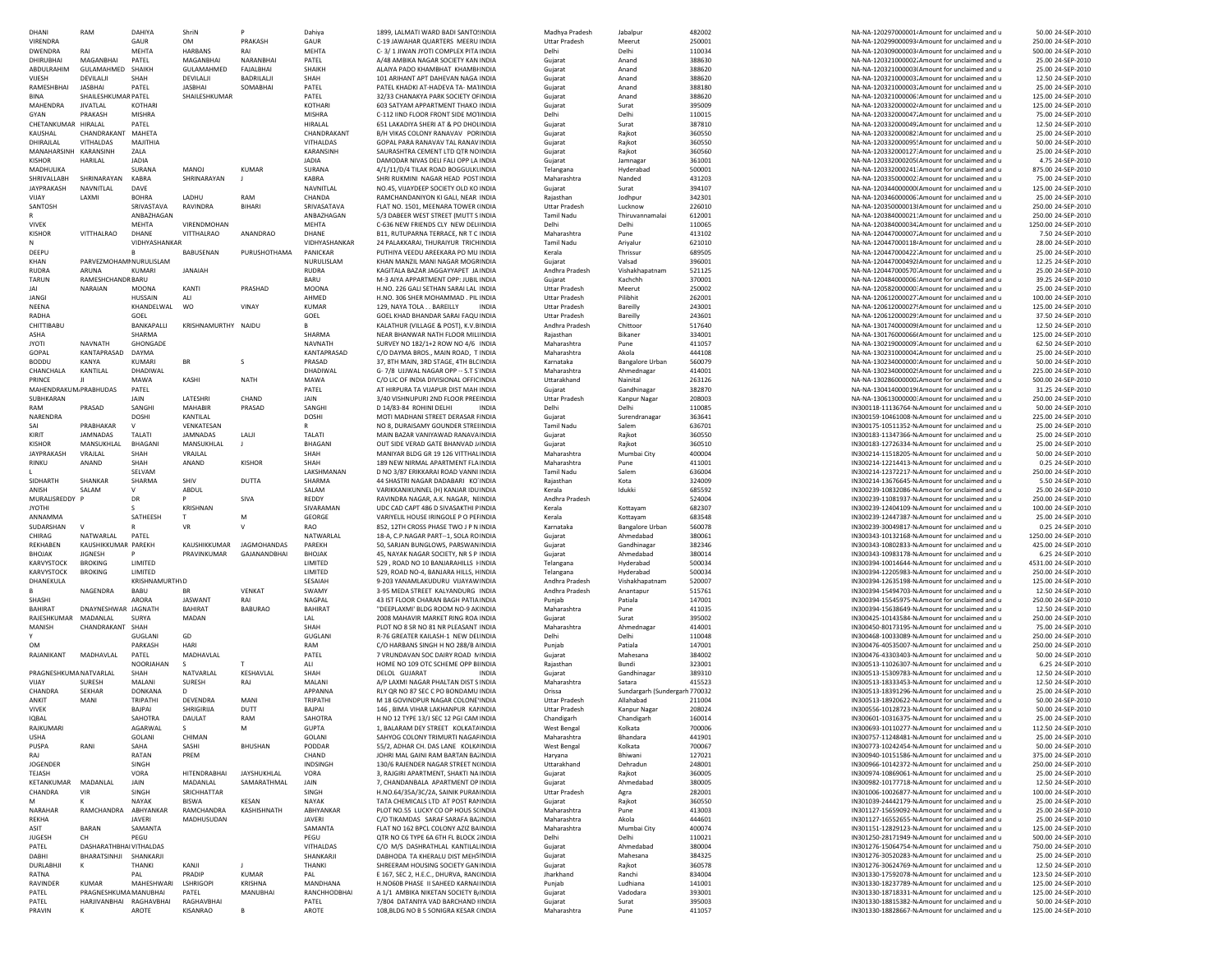| DHANI                  | <b>RAM</b>                     | DAHIYA                | ShriN               |                    | Dahiya             | 1899, LALMATI WARD BADI SANTO: INDIA                                        | Madhya Pradesh         | Jabalou                       | 482002           | NA-NA-120297000001 Amount for unclaimed and u                                                      | 50.00 24-SEP-2010                       |
|------------------------|--------------------------------|-----------------------|---------------------|--------------------|--------------------|-----------------------------------------------------------------------------|------------------------|-------------------------------|------------------|----------------------------------------------------------------------------------------------------|-----------------------------------------|
| VIRENDRA               |                                | GAUR                  | <b>OM</b>           | PRAKASH            | GAUR               | C-19 JAWAHAR QUARTERS MEERU INDIA                                           | <b>Uttar Pradesh</b>   | Meerut                        | 250001           | NA-NA-120299000093, Amount for unclaimed and u                                                     | 250.00 24-SEP-2010                      |
| <b>DWENDRA</b>         | RAI                            | MEHTA                 | HARBANS             | RAI                | MEHTA              | C-3/1 JIWAN JYOTI COMPLEX PITA INDIA                                        | Delhi                  | Delhi                         | 110034           | NA-NA-120309000003. Amount for unclaimed and u                                                     | 500.00 24-SEP-2010                      |
| DHIRUBHAI              | MAGANBHAI                      | PATEL                 | MAGANBHAI           | NARANBHAI          | PATEL              | A/48 AMBIKA NAGAR SOCIETY KAN INDIA                                         | Gujarat                | Anand                         | 388630           | NA-NA-120321000002. Amount for unclaimed and u                                                     | 25.00 24-SEP-2010                       |
|                        | GULAMAHMED SHAIKH              |                       |                     | FAJALBHAI          | SHAIKH             | ALAIYA PADO KHAMBHAT KHAMBHNDIA                                             |                        | Anand                         | 388620           |                                                                                                    |                                         |
| ABDULRAHIM             |                                |                       | GULAMAHMED          |                    |                    |                                                                             | Gujarat                |                               |                  | NA-NA-120321000003 Amount for unclaimed and u                                                      | 25.00 24-SEP-2010                       |
| VIJESH                 | DEVILALII                      | SHAH                  | DEVILALI            | BADRILALI          | SHAH               | 101 ARIHANT APT DAHEVAN NAGA INDIA                                          | Gujarat                | Anand                         | 388620           | NA-NA-120321000003. Amount for unclaimed and u                                                     | 12.50 24-SEP-2010                       |
| RAMESHBHAI             | JASBHAI                        | PATEL                 | JASBHAI             | SOMABHAI           | PATEL              | PATEL KHADKI AT-HADEVA TA- MA'INDIA                                         | Gujarat                | Anand                         | 388180           | NA-NA-120321000003. Amount for unclaimed and u                                                     | 25.00 24-SEP-2010                       |
| <b>BINA</b>            | SHAILESHKUMAR PATEL            |                       | SHAILESHKUMAR       |                    | PATEL              | 32/33 CHANAKYA PARK SOCIETY OF INDIA                                        | Gujarat                | Anand                         | 388620           | NA-NA-120321000006: Amount for unclaimed and u                                                     | 125.00 24-SEP-2010                      |
| MAHENDRA               | <b>JIVATLAL</b>                | KOTHARI               |                     |                    | KOTHARI            | 603 SATYAM APPARTMENT THAKO INDIA                                           | Gujarat                | Surat                         | 395009           | NA-NA-120332000002. Amount for unclaimed and u                                                     | 125.00 24-SEP-2010                      |
| GYAN                   | PRAKASH                        | <b>MISHRA</b>         |                     |                    | <b>MISHRA</b>      | C-112 IIND FLOOR FRONT SIDE MOTINDIA                                        | Delhi                  | Delhi                         | 110015           | NA-NA-120332000047. Amount for unclaimed and u                                                     | 75.00 24-SEP-2010                       |
| CHETANKUMAR HIRALAL    |                                | PATEL                 |                     |                    | HIRALAL            | 651 LAKADIYA SHERI AT & PO DHOLINDIA                                        | Gujarat                | Surat                         | 387810           | NA-NA-120332000049. Amount for unclaimed and u                                                     | 12.50 24-SEP-2010                       |
|                        |                                |                       |                     |                    |                    |                                                                             |                        |                               |                  | NA-NA-120332000082' Amount for unclaimed and u                                                     |                                         |
| KAUSHAL                | CHANDRAKANT MAHETA             |                       |                     |                    | CHANDRAKANT        | B/H VIKAS COLONY RANAVAV PORINDIA                                           | Gujarat                | Raikot                        | 360550           |                                                                                                    | 25.00 24-SEP-2010                       |
| DHIRAJLAL              | VITHALDAS                      | MAJITHIA              |                     |                    | VITHALDAS          | GOPAL PARA RANAVAV TAL RANAV INDIA                                          | Guiarat                | Raikot                        | 360550           | NA-NA-120332000095! Amount for unclaimed and u                                                     | 50.00 24-SEP-2010                       |
| MANAHARSINH            | KARANSINH                      | ZALA                  |                     |                    | KARANSINH          | SAURASHTRA CEMENT LTD QTR NOINDIA                                           | Guiarat                | Raikot                        | 360560           | NA-NA-120332000127: Amount for unclaimed and u                                                     | 25.00 24-SEP-2010                       |
| <b>KISHOR</b>          | HARILAL                        | <b>JADIA</b>          |                     |                    | <b>JADIA</b>       | DAMODAR NIVAS DELI FALI OPP LA INDIA                                        | Guiarat                | Jamnagar                      | 361001           | NA-NA-120332000205(Amount for unclaimed and u                                                      | 4.75 24-SEP-2010                        |
| MADHULIKA              |                                | SURANA                | <b>MANOJ</b>        | <b>KUMAR</b>       | SURANA             | 4/1/11/D/4 TILAK ROAD BOGGULKUNDIA                                          | Telangana              | Hyderabad                     | 500001           | NA-NA-120332000241: Amount for unclaimed and u                                                     | 875.00 24-SEP-2010                      |
| SHRIVALLABH            | SHRINARAYAN                    | <b>KABRA</b>          | SHRINARAYAN         |                    | <b>KABRA</b>       | SHRI RUKMINI NAGAR HEAD POST INDIA                                          | Maharashtra            | Nanded                        | 431203           | NA-NA-120335000002: Amount for unclaimed and u                                                     | 75.00 24-SEP-2010                       |
|                        |                                |                       |                     |                    |                    |                                                                             |                        |                               |                  |                                                                                                    |                                         |
| <b>JAYPRAKASH</b>      | NAVNITLAL                      | DAVE                  |                     |                    | NAVNITLAL          | NO.45. VIJAYDEEP SOCIETY OLD KO INDIA                                       | Gujarat                | Surat                         | 394107           | NA-NA-120344000000 Amount for unclaimed and u                                                      | 125.00 24-SEP-2010                      |
| VIJAY                  | LAXMI                          | <b>BOHRA</b>          | LADHU               | RAM                | CHANDA             | RAMCHANDANIYON KI GALI, NEAR INDIA                                          | Rajasthan              | Jodhpur                       | 342301           | NA-NA-120346000006' Amount for unclaimed and u                                                     | 25.00 24-SEP-2010                       |
| SANTOSH                |                                | SRIVASTAVA            | RAVINDRA            | BIHARI             | SRIVASATAVA        | FLAT NO. 1501, MEENARA TOWER (INDIA                                         | <b>Uttar Pradesh</b>   | Lucknow                       | 226010           | NA-NA-120350000013 Amount for unclaimed and u                                                      | 250.00 24-SEP-2010                      |
|                        |                                | ANBAZHAGAN            |                     |                    | ANBAZHAGAN         | 5/3 DABEER WEST STREET (MUTT S INDIA                                        | Tamil Nadu             | Thiruvannamalai               | 612001           | NA-NA-120384000021: Amount for unclaimed and u                                                     | 250.00 24-SEP-2010                      |
| <b>VIVEK</b>           |                                | MEHTA                 | VIRENDMOHAN         |                    | MEHTA              | C-636 NEW FRIENDS CLY NEW DELIINDIA                                         | Delhi                  | Delhi                         | 110065           | NA-NA-120384000034. Amount for unclaimed and u                                                     | 1250.00 24-SEP-2010                     |
| <b>KISHOR</b>          | VITTHALRAO                     | <b>DHANE</b>          | VITTHALRAO          | ANANDRAO           | DHANE              | B11, RUTUPARNA TERRACE, NR T C INDIA                                        | Maharashtra            | Pune                          | 413102           | NA-NA-120447000007. Amount for unclaimed and u                                                     | 7.50 24-SEP-2010                        |
|                        |                                |                       |                     |                    | VIDHYASHANKAR      | 24 PALAKKARAL THURAIYUR TRICHINDIA                                          |                        |                               |                  |                                                                                                    |                                         |
| N                      |                                | VIDHYASHANKAR         |                     |                    |                    |                                                                             | <b>Tamil Nadu</b>      | Ariyalur                      | 621010           | NA-NA-120447000118 Amount for unclaimed and u                                                      | 28.00 24-SEP-2010                       |
| DEEPU                  |                                | в.                    | BABUSENAN           | PURUSHOTHAMA       | PANICKAR           | PUTHIYA VEEDU AREEKARA PO MU INDIA                                          | Kerala                 | Thrissur                      | 689505           | NA-NA-120447000422' Amount for unclaimed and u                                                     | 25.00 24-SEP-2010                       |
| KHAN                   | PARVEZMOHAMMNURULISLAM         |                       |                     |                    | NURULISLAM         | KHAN MANZIL MANI NAGAR MOGFINDIA                                            | Guiarat                | Valsad                        | 396001           | NA-NA-1204470004921Amount for unclaimed and u                                                      | 12.25 24-SEP-2010                       |
| <b>RUDRA</b>           | ARUNA                          | KUMARI                | <b>JANAIAH</b>      |                    | <b>RUDRA</b>       | KAGITALA BAZAR JAGGAYYAPET JA INDIA                                         | Andhra Pradesh         | Vishakhapatnam                | 521125           | NA-NA-120447000570. Amount for unclaimed and u                                                     | 25.00 24-SEP-2010                       |
| TARUN                  | RAMESHCHANDR BARU              |                       |                     |                    | BARU               | M-3 AIYA APPARTMENT OPP: JUBIL INDIA                                        | Guiarat                | Kachchh                       | 370001           | NA-NA-120484000006: Amount for unclaimed and u                                                     | 39.25 24-SEP-2010                       |
| JAI                    | <b>NARAIAN</b>                 | MOONA                 | KANTI               | PRASHAD            | <b>MOONA</b>       | H.NO. 226 GALI SETHAN SARAI LAL INDIA                                       | <b>Uttar Pradesh</b>   | Meerut                        | 250002           | NA-NA-120582000000: Amount for unclaimed and u                                                     | 25.00 24-SEP-2010                       |
| JANGI                  |                                |                       | ALI                 |                    | AHMED              | H.NO. 306 SHER MOHAMMAD . PIL INDIA                                         | <b>Uttar Pradesh</b>   | Pilibhit                      | 262001           |                                                                                                    | 100.00 24-SEP-2010                      |
|                        |                                | HUSSAIN               |                     |                    |                    |                                                                             |                        |                               |                  | NA-NA-120612000027. Amount for unclaimed and u                                                     |                                         |
| NEENA                  |                                | KHANDELWAL            | <b>WO</b>           | <b>VINAY</b>       | <b>KUMAR</b>       | 129. NAYA TOLA BAREILLY<br><b>INDIA</b>                                     | <b>Uttar Pradesh</b>   | Bareilly                      | 243001           | NA-NA-120612000027! Amount for unclaimed and u                                                     | 125.00 24-SEP-2010                      |
| RADHA                  |                                | GOEL                  |                     |                    | GOEL               | GOEL KHAD BHANDAR SARAI FAQU INDIA                                          | <b>Uttar Pradesh</b>   | Bareilly                      | 243601           | NA-NA-120612000029: Amount for unclaimed and u                                                     | 37.50 24-SEP-2010                       |
| CHITTIBABU             |                                | BANKAPALLI            | KRISHNAMURTHY NAIDU |                    |                    | KALATHUR (VILLAGE & POST), K.V.BINDIA                                       | Andhra Pradesh         | Chittoor                      | 517640           | NA-NA-130174000009 Amount for unclaimed and u                                                      | 12.50 24-SEP-2010                       |
| ASHA                   |                                | SHARMA                |                     |                    | SHARMA             | NEAR BHANWAR NATH FLOOR MILIINDIA                                           | Rajasthan              | Bikaner                       | 334001           | NA-NA-130176000066 Amount for unclaimed and u                                                      | 125.00 24-SEP-2010                      |
| <b>JYOTI</b>           | <b>NAVNATH</b>                 | GHONGADE              |                     |                    | <b>NAVNATH</b>     | SURVEY NO 182/1+2 ROW NO 4/6 INDIA                                          | Maharashtra            | Pune                          | 411057           | NA-NA-130219000009 Amount for unclaimed and u                                                      | 62.50 24-SEP-2010                       |
|                        |                                |                       |                     |                    |                    |                                                                             |                        |                               |                  |                                                                                                    |                                         |
| GOPAL                  | KANTAPRASAD                    | DAYMA                 |                     |                    | KANTAPRASAD        | C/O DAYMA BROS., MAIN ROAD, T INDIA                                         | Maharashtra            | Akola                         | 444108           | NA-NA-130231000004. Amount for unclaimed and u                                                     | 25.00 24-SEP-2010                       |
| <b>BODDU</b>           | KANYA                          | <b>KUMARI</b>         | <b>BR</b>           | -S                 | PRASAD             | 37, 8TH MAIN, 3RD STAGE, 4TH BLC INDIA                                      | Karnataka              | Bangalore Urban               | 560079           | NA-NA-130234000000: Amount for unclaimed and u                                                     | 50.00 24-SEP-2010                       |
| CHANCHALA              | KANTILAL                       | DHADIWAL              |                     |                    | DHADIWAL           | G-7/8 UJJWAL NAGAR OPP -- S.T S'INDIA                                       | Maharashtra            | Ahmednagar                    | 414001           | NA-NA-130234000002! Amount for unclaimed and u                                                     | 225.00 24-SEP-2010                      |
| PRINCE                 | $\mathbf{H}$                   | MAWA                  | KASHI               | <b>NATH</b>        | MAWA               | C/O LIC OF INDIA DIVISIONAL OFFICINDIA                                      | Uttarakhand            | Nainital                      | 263126           | NA-NA-130286000000. Amount for unclaimed and u                                                     | 500.00 24-SEP-2010                      |
| MAHENDRAKUM.PRABHUDAS  |                                | PATEL                 |                     |                    | PATEL              | AT HIRPURA TA VIJAPUR DIST MAH INDIA                                        | Guiarat                | Gandhinagar                   | 382870           | NA-NA-130414000019 Amount for unclaimed and u                                                      | 31.25 24-SEP-2010                       |
| SUBHKARAN              |                                | JAIN                  | LATESHRI            | CHAND              | JAIN               | 3/40 VISHNUPURI 2ND FLOOR PREEINDIA                                         | <b>Uttar Pradesh</b>   | Kanpur Nagar                  | 208003           | NA-NA-130613000000: Amount for unclaimed and u                                                     | 250.00 24-SEP-2010                      |
|                        |                                |                       |                     |                    |                    |                                                                             |                        |                               |                  |                                                                                                    |                                         |
| RAM                    | PRASAD                         | SANGHI                | <b>MAHABIR</b>      | PRASAD             | SANGHI             | D 14/83-84 ROHINI DELHI<br><b>INDIA</b>                                     | Delhi                  | Delhi                         | 110085           | IN300118-11136764-N. Amount for unclaimed and u                                                    | 50.00 24-SEP-2010                       |
| NARENDRA               |                                | DOSHI                 | KANTILAL            |                    | DOSHI              | MOTI MADHANI STREET DERASAR FINDIA                                          | Gujarat                | Surendranagar                 | 363641           | IN300159-10461008-N. Amount for unclaimed and u                                                    | 225.00 24-SEP-2010                      |
| SAI                    | PRABHAKAR                      | $\mathsf{v}$          | VENKATESAN          |                    | R                  | NO 8, DURAISAMY GOUNDER STREIINDIA                                          | Tamil Nadu             | Salem                         | 636701           | IN300175-10511352-N. Amount for unclaimed and u                                                    | 25.00 24-SEP-2010                       |
| KIRIT                  | JAMNADAS                       | TALATI                | JAMNADAS            | LALII              | TALATI             | MAIN BAZAR VANIYAWAD RANAVA INDIA                                           | Gujarat                | Rajkot                        | 360550           | IN300183-11347366-N. Amount for unclaimed and u                                                    | 25.00 24-SEP-2010                       |
| <b>KISHOR</b>          | MANSUKHLAL                     | BHAGANI               | MANSUKHLAL          | $\perp$            | BHAGANI            | OUT SIDE VERAD GATE BHANVAD J/INDIA                                         | Gujarat                | Rajkot                        | 360510           | IN300183-12726334-N. Amount for unclaimed and u                                                    | 25.00 24-SEP-2010                       |
| JAYPRAKASH             | VRAJLAL                        | SHAH                  | VRAJLAL             |                    | SHAH               | MANIYAR BLDG GR 19 126 VITTHAL INDIA                                        | Maharashtra            |                               | 400004           |                                                                                                    |                                         |
|                        |                                |                       |                     |                    |                    |                                                                             |                        | Mumbai City                   |                  | IN300214-11518205-N. Amount for unclaimed and u                                                    | 50.00 24-SEP-2010                       |
| RINKU                  | ANAND                          | SHAH                  | ANAND               | <b>KISHOR</b>      | SHAH               | 189 NEW NIRMAL APARTMENT FLA INDIA                                          | Maharashtra            | Pune                          | 411001           | IN300214-12214413-N. Amount for unclaimed and u                                                    | 0.25 24-SEP-2010                        |
|                        |                                | SELVAM                |                     |                    | <b>I AKSHMANAN</b> | D NO 3/87 ERIKKARAI ROAD VANNI INDIA                                        | <b>Tamil Nadu</b>      | Salem                         | 636004           | IN300214-12372217-N Amount for unclaimed and u                                                     | 250.00 24-SEP-2010                      |
| SIDHARTH               | SHANKAR                        | SHARMA                | SHIV                | DUTTA              | SHARMA             | 44 SHASTRI NAGAR DADABARI KO'INDIA                                          | Raiasthan              | Kota                          | 324009           | IN300214-13676645-N Amount for unclaimed and u                                                     | 5.50 24-SEP-2010                        |
| ANISH                  | SALAM                          | v                     | ABDUL               |                    | SALAM              | VARIKKANIKUNNEL (H) KANJAR IDU INDIA                                        | Kerala                 | Idukki                        | 685592           | IN300239-10832086-N. Amount for unclaimed and u                                                    | 25.00 24-SEP-2010                       |
| MURALISREDDY P         |                                | <b>DR</b>             | P                   | SIVA               | REDDY              | RAVINDRA NAGAR, A.K. NAGAR, NIINDIA                                         | Andhra Pradesh         |                               | 524004           | IN300239-11081937-N. Amount for unclaimed and u                                                    | 250.00 24-SEP-2010                      |
|                        |                                |                       |                     |                    |                    |                                                                             |                        |                               |                  |                                                                                                    |                                         |
| <b>JYOTHI</b>          |                                | s                     | KRISHNAN            |                    | SIVARAMAN          | UDC CAD CAPT 486 D SIVASAKTHI PINDIA                                        | Kerala                 | Kottavam                      | 682307           | IN300239-12404109-N. Amount for unclaimed and u                                                    | 100.00 24-SEP-2010                      |
| ANNAMMA                |                                | SATHEESH              | T.                  | M                  | GEORGE             | VARIYELIL HOUSE IRINGOLE P O PEHNDIA                                        | Kerala                 | Kottayam                      | 683548           | IN300239-12447387-N. Amount for unclaimed and u                                                    | 25.00 24-SEP-2010                       |
| SUDARSHAN              |                                |                       | <b>VR</b>           | V                  | <b>RAO</b>         | 852, 12TH CROSS PHASE TWO J P N INDIA                                       | Karnataka              | <b>Bangalore Urban</b>        | 560078           | IN300239-30049817-N. Amount for unclaimed and u                                                    | 0.25 24-SEP-2010                        |
| CHIRAG                 | NATWARLAL                      | PATEL                 |                     |                    | NATWARLAL          | 18-A, C.P.NAGAR PART--1, SOLA ROINDIA                                       | Gujarat                | Ahmedabad                     | 380061           | IN300343-10132168-N. Amount for unclaimed and u                                                    | 1250.00 24-SEP-2010                     |
| REKHABEN               | KAUSHIKKUMAR PAREKH            |                       | KAUSHIKKUMAR        | JAGMOHANDAS        | PAREKH             | 50, SARJAN BUNGLOWS, PARSWAN INDIA                                          | Gujarat                | Gandhinagar                   | 382346           | IN300343-10802833-N. Amount for unclaimed and u                                                    | 425.00 24-SEP-2010                      |
|                        |                                |                       |                     |                    |                    |                                                                             |                        |                               |                  |                                                                                                    |                                         |
| BHOJAK                 | <b>JIGNESH</b>                 |                       | PRAVINKUMAR         | GAJANANDBHAI       | BHOJAK             | 45, NAYAK NAGAR SOCIETY, NR S P INDIA                                       | Gujarat                | Ahmedabad                     | 380014           | IN300343-10983178-N. Amount for unclaimed and u                                                    | 6.25 24-SEP-2010                        |
| KARVYSTOCK             | <b>BROKING</b>                 | LIMITED               |                     |                    | LIMITED            | 529, ROAD NO 10 BANJARAHILLS HINDIA                                         | Telangana              | Hyderabad                     | 500034           | IN300394-10014644-N. Amount for unclaimed and u                                                    | 4531.00 24-SEP-2010                     |
| KARVYSTOCK             | <b>BROKING</b>                 | LIMITED               |                     |                    | LIMITED            | 529, ROAD NO-4, BANJARA HILLS, HINDIA                                       | Telangana              | Hyderabad                     | 500034           | IN300394-12205983-N. Amount for unclaimed and u                                                    | 250.00 24-SEP-2010                      |
| DHANEKULA              |                                | <b>KRISHNAMURTH\D</b> |                     |                    | SESAIAH            | 9-203 YANAMLAKUDURU VIJAYAW INDIA                                           | Andhra Pradesh         | Vishakhapatnam                | 520007           | IN300394-12635198-N. Amount for unclaimed and u                                                    | 125.00 24-SEP-2010                      |
|                        | NAGENDRA                       | <b>BABU</b>           | <b>BR</b>           | <b>VENKAT</b>      | SWAMY              | 3-95 MEDA STREET KALYANDURG INDIA                                           | Andhra Pradesh         | Anantapur                     |                  |                                                                                                    |                                         |
| SHASHI                 |                                | ARORA                 | <b>JASWANT</b>      | RAI                | NAGPAL             |                                                                             |                        |                               |                  |                                                                                                    |                                         |
|                        |                                |                       |                     |                    |                    |                                                                             |                        |                               | 515761           | IN300394-15494703-N Amount for unclaimed and u                                                     | 12.50 24-SEP-2010                       |
| BAHIRAT                | DNAYNESHWAR JAGNATH            |                       |                     |                    |                    | 43 IST FLOOR CHARAN BAGH PATIA INDIA                                        | Puniab                 | Patiala                       | 147001           | IN300394-15545975-N Amount for unclaimed and u                                                     | 250.00 24-SEP-2010                      |
| RAJESHKUMAR            | MADANLAL                       |                       | <b>BAHIRAT</b>      | <b>BABURAO</b>     | BAHIRAT            | "DEEPLAXMI' BLDG ROOM NO-9 AKINDIA                                          | Maharashtra            | Pune                          | 411035           | IN300394-15638649-N. Amount for unclaimed and u                                                    | 12.50 24-SEP-2010                       |
| MANISH                 |                                | SURYA                 | MADAN               |                    | LAL                | 2008 MAHAVIR MARKET RING ROA INDIA                                          | Guiarat                | Surat                         | 395002           | IN300425-10143584-N. Amount for unclaimed and u                                                    | 250.00 24-SEP-2010                      |
|                        | CHANDRAKANT SHAH               |                       |                     |                    | SHAH               | PLOT NO 8 SR NO 81 NR PLEASANT INDIA                                        | Maharashtra            | Ahmednagar                    | 414001           | IN300450-80173195-N. Amount for unclaimed and u                                                    | 75.00 24-SEP-2010                       |
|                        |                                | GUGLANI               | GD                  |                    | GUGLANI            | R-76 GREATER KAILASH-1 NEW DELINDIA                                         | Delhi                  | Delhi                         | 110048           | IN300468-10033089-N. Amount for unclaimed and u                                                    | 250.00 24-SEP-2010                      |
|                        |                                |                       |                     |                    |                    |                                                                             |                        |                               |                  |                                                                                                    |                                         |
| <b>OM</b>              |                                | PARKASH               | HARI                |                    | RAM                | C/O HARBANS SINGH H NO 288/B AINDIA                                         | Punjab                 | Patiala                       | 147001           | IN300476-40535007-N. Amount for unclaimed and u                                                    | 250.00 24-SEP-2010                      |
| RAJANIKANT             | MADHAVLAL                      | PATEL                 | MADHAVLAL           |                    | PATEL              | 7 VRUNDAVAN SOC DAIRY ROAD NINDIA                                           | Gujarat                | Mahesana                      | 384002           | IN300476-43303403-N. Amount for unclaimed and u                                                    | 50.00 24-SEP-2010                       |
|                        |                                | NOORJAHAN             | s.                  |                    | ALI                | HOME NO 109 OTC SCHEME OPP BIINDIA                                          | Rajasthan              | Bundi                         | 323001           | IN300513-11026307-N. Amount for unclaimed and u                                                    | 6.25 24-SEP-2010                        |
| PRAGNESHKUMA NATVARLAL |                                | SHAH                  | NATVARLAL           | KESHAVLAL          | SHAH               | <b>DELOL GUJARAT</b><br><b>INDIA</b>                                        | Gujarat                | Gandhinagar                   | 389310           | IN300513-15309783-N. Amount for unclaimed and u                                                    | 12.50 24-SEP-2010                       |
| VIIAY                  | SURESH                         | <b>MALANI</b>         | SURESH              | RAJ                | MALANI             | A/P LAXMI NAGAR PHALTAN DIST S INDIA                                        | Maharashtra            | Satara                        | 415523           | IN300513-18333453-N. Amount for unclaimed and u                                                    | 12.50 24-SEP-2010                       |
| CHANDRA                | <b>SEKHAR</b>                  | DONKANA               | <sup>D</sup>        |                    | APPANNA            | RLY OR NO 87 SEC C PO BONDAMU INDIA                                         | Orissa                 | Sundargarh (Sundergarh 770032 |                  | IN300513-18391296-N. Amount for unclaimed and u                                                    | 25.00 24-SEP-2010                       |
| ANKIT                  |                                |                       |                     | MANI               | TRIPATHI           |                                                                             |                        |                               |                  |                                                                                                    |                                         |
|                        | MANI                           | TRIPATHI              | DEVENDRA            |                    |                    | M 18 GOVINDPUR NAGAR COLONE' INDIA<br>146 BIMA VIHAR LAKHANPUR KALINDIA     | <b>Uttar Pradesh</b>   | Allahabad                     | 211004           | IN300513-18920622-N Amount for unclaimed and u                                                     | 50.00 24-SEP-2010                       |
| <b>VIVEK</b>           |                                | BAJPAI                | SHRIGIRIJA          | DUTT               | BAJPAI             |                                                                             | <b>Uttar Pradesh</b>   | Kanpur Nagar                  | 208024           | IN300556-10128723-N Amount for unclaimed and u                                                     | 50.00 24-SEP-2010                       |
| <b>IQBAL</b>           |                                | SAHOTRA               | DAULAT              | RAM                | SAHOTRA            | H NO 12 TYPE 13/J SEC 12 PGI CAM INDIA                                      | Chandigarh             | Chandigarh                    | 160014           | IN300601-10316375-N Amount for unclaimed and u                                                     | 25.00 24-SEP-2010                       |
| RAIKUMARI              |                                | <b>AGARWAI</b>        |                     |                    | GUPTA              | 1. BALARAM DEY STREET KOLKATAINDIA                                          | <b>West Rengal</b>     | Kolkata                       | 700006           | IN300693-10110277-N Amount for unclaimed and u                                                     | 112.50.24-SFP-2010                      |
| <b>USHA</b>            |                                | GOLANI                | CHIMAN              |                    | GOLANI             | SAHYOG COLONY TRIMURTI NAGAF INDIA                                          | Maharashtra            | Bhandara                      | 441901           | IN300757-11248481-N. Amount for unclaimed and u                                                    | 25.00 24-SEP-2010                       |
| PUSPA                  | RANI                           | SAHA                  | SASHI               | <b>BHUSHAN</b>     | PODDAR             | 55/2, ADHAR CH. DAS LANE KOLK/INDIA                                         | West Bengal            | Kolkata                       | 700067           | IN300773-10242454-N. Amount for unclaimed and u                                                    | 50.00 24-SEP-2010                       |
|                        |                                |                       |                     |                    |                    |                                                                             |                        |                               |                  |                                                                                                    |                                         |
| RAJ                    |                                | RATAN                 | PREM                |                    | CHAND              | JOHRI MAL GAINI RAM BARTAN BA'INDIA                                         | Haryana                | Bhiwani                       | 127021           | IN300940-10151586-N. Amount for unclaimed and u                                                    | 375.00 24-SEP-2010                      |
| JOGENDER               |                                | SINGH                 |                     |                    | INDSINGH           | 130/6 RAJENDER NAGAR STREET N(INDIA                                         | Uttarakhand            | Dehradun                      | 248001           | IN300966-10142372-N. Amount for unclaimed and u                                                    | 250.00 24-SEP-2010                      |
| TEJASH                 |                                | VORA                  | <b>HITENDRABHAI</b> | <b>JAYSHUKHLAL</b> | VORA               | 3, RAJGIRI APARTMENT, SHAKTI NA INDIA                                       | Gujarat                | Rajkot                        | 360005           | IN300974-10869061-N. Amount for unclaimed and u                                                    | 25.00 24-SEP-2010                       |
| KETANKUMAR             | MADANLAL                       | JAIN                  | MADANLAL            | SAMARATHMAL        | JAIN               | 7, CHANDANBALA APARTMENT OP INDIA                                           | Gujarat                | Ahmedabad                     | 380005           | IN300982-10177718-N. Amount for unclaimed and u                                                    | 12.50 24-SEP-2010                       |
| CHANDRA                | VIR                            | SINGH                 | SRICHHATTAR         |                    | SINGH              | H.NO.64/35A/3C/2A, SAINIK PURANINDIA                                        | <b>Uttar Pradesh</b>   | Agra                          | 282001           | IN301006-10026877-N. Amount for unclaimed and u                                                    | 100.00 24-SEP-2010                      |
| м                      |                                | NAYAK                 | <b>BISWA</b>        | <b>KESAN</b>       | NAYAK              | TATA CHEMICALS LTD AT POST RANINDIA                                         | Gujarat                | Rajkot                        |                  | IN301039-24442179-N Amount for unclaimed and u                                                     | 25.00 24-SEP-2010                       |
|                        |                                |                       |                     |                    |                    |                                                                             |                        |                               | 360550           |                                                                                                    |                                         |
| <b>NARAHAR</b>         | RAMCHANDRA ABHYANKAR           |                       | RAMCHANDRA          | KASHISHNATH        | ABHYANKAR          | PLOT NO.55 LUCKY CO OP HOUS SCINDIA                                         | Maharashtra            | Pune                          | 413003           | IN301127-15659092-N. Amount for unclaimed and u                                                    | 25.00 24-SEP-2010                       |
| REKHA                  |                                | <b>JAVERI</b>         | MADHUSUDAN          |                    | <b>JAVERI</b>      | C/O TIKAMDAS SARAF SARAFA BA INDIA                                          | Maharashtra            | Akola                         | 444601           | IN301127-16552655-N. Amount for unclaimed and u                                                    | 25.00 24-SEP-2010                       |
| ASIT                   | <b>BARAN</b>                   | SAMANTA               |                     |                    | SAMANTA            | FLAT NO 162 BPCL COLONY AZIZ BAINDIA                                        | Maharashtra            | Mumbai City                   | 400074           | IN301151-12829123-N Amount for unclaimed and u                                                     | 125.00 24-SEP-2010                      |
| JUGESH                 | CH                             | PEGU                  |                     |                    | PEGU               | OTR NO C6 TYPE 6A 6TH ELBLOCK (INDIA                                        | Delhi                  | Delhi                         | 110021           | IN301250-28171949-N. Amount for unclaimed and u                                                    | 500.00 24-SEP-2010                      |
| PATEL                  | <b>DASHARATHBHAI VITHALDAS</b> |                       |                     |                    | VITHALDAS          | C/O M/S DASHRATHLAL KANTILALINDIA                                           | Gujarat                | Ahmedabad                     | 380004           | IN301276-15064754-N. Amount for unclaimed and u                                                    | 750.00 24-SEP-2010                      |
| DABHI                  | BHARATSINHJI SHANKARJI         |                       |                     |                    | SHANKARJI          |                                                                             |                        |                               |                  |                                                                                                    |                                         |
|                        |                                |                       |                     |                    |                    | DABHODA TA KHERALU DIST MEHSINDIA                                           | Gujarat                | Mahesana                      | 384325           | IN301276-30520283-N. Amount for unclaimed and u                                                    | 25.00 24-SEP-2010                       |
| <b>DURLABHJI</b>       | K                              | <b>THANK</b>          | KANJI               |                    | THANKI             | SHREERAM HOUSING SOCIETY GAN INDIA                                          | Gujarat                | Rajkot                        | 360578           | IN301276-30624769-N. Amount for unclaimed and u                                                    | 12.50 24-SEP-2010                       |
| RATNA                  |                                | PAL                   | PRADIP              | <b>KUMAR</b>       | PAL                | E 167, SEC 2, H.E.C., DHURVA, RAN(INDIA                                     | Jharkhand              | Ranchi                        | 834004           | IN301330-17592078-N. Amount for unclaimed and u                                                    | 123.50 24-SEP-2010                      |
| RAVINDER               | <b>KUMAR</b>                   | MAHESHWARI            | <b>LSHRIGOPI</b>    | KRISHNA            | MANDHANA           | H.NO60B PHASE II SAHEED KARNAI INDIA                                        | Punjab                 | Ludhiana                      | 141001           | IN301330-18237789-N. Amount for unclaimed and u                                                    | 125.00 24-SEP-2010                      |
| PATEL                  | PRAGNESHKUMA MANUBHAI          |                       | PATEL               | MANUBHAI           | RANCHHODBHAI       | A 1/1 AMBIKA NIKETAN SOCIETY B, INDIA                                       | Gujarat                | Vadodara                      | 393001           | IN301330-18718331-N. Amount for unclaimed and u                                                    | 125.00 24-SEP-2010                      |
|                        |                                |                       | RAGHAVBHAI          |                    |                    |                                                                             |                        |                               |                  |                                                                                                    |                                         |
| PATEL<br>PRAVIN        | HARJIVANBHAI RAGHAVBHAI        | AROTE                 | KISANRAO            | <b>B</b>           | PATEL<br>AROTE     | 7/804 DATANIYA VAD BARCHAND IINDIA<br>108, BLDG NO B 5 SONIGRA KESAR (INDIA | Gujarat<br>Maharashtra | Surat<br>Pune                 | 395003<br>411057 | IN301330-18815382-N. Amount for unclaimed and u<br>IN301330-18828667-N. Amount for unclaimed and u | 50.00 24-SEP-2010<br>125.00 24-SEP-2010 |

| ITI WARD BADI SANTO: INDIA                                   | Madhya Pradesh                               |
|--------------------------------------------------------------|----------------------------------------------|
| AR QUARTERS MEERU INDIA                                      | <b>Uttar Pradesh</b>                         |
| N JYOTI COMPLEX PITA INDIA                                   | Delhi                                        |
| A NAGAR SOCIETY KAN INDIA                                    | Gujarat                                      |
| <b>KHAMBHAT KHAMBHNDIA</b><br><b>TAPT DAHEVAN NAGA INDIA</b> | Gujarat                                      |
| KI AT-HADEVA TA- MATINDIA                                    | Gujarat<br>Gujarat                           |
| AKYA PARK SOCIETY OF INDIA                                   | Gujarat                                      |
| APPARTMENT THAKO INDIA                                       | Gujarat                                      |
| LOOR FRONT SIDE MOTINDIA                                     | Delhi                                        |
| A SHERI AT & PO DHOLINDIA                                    | Guiarat                                      |
| <b>DLONY RANAVAV PORINDIA</b>                                | Gujarat                                      |
| RANAVAV TAL RANAV INDIA                                      | Gujarat                                      |
| <b>A CEMENT LTD QTR NOINDIA</b>                              | Guiarat                                      |
| IIVAS DELI FALI OPP LA INDIA                                 | Guiarat                                      |
| <b>FILAK ROAD BOGGULKI INDIA</b>                             | Telangana                                    |
| <b>II NAGAR HEAD POST INDIA</b>                              | Maharashtra                                  |
| DEEP SOCIETY OLD KO INDIA                                    | Gujarat                                      |
| ANIYON KI GALI, NEAR INDIA                                   | Rajasthan                                    |
| 01, MEENARA TOWER (INDIA                                     | <b>Uttar Pradesh</b>                         |
| WEST STREET (MUTT S INDIA                                    | Tamil Nadu                                   |
| RIENDS CLY NEW DELIINDIA                                     | Delhi                                        |
| ARNA TERRACE, NR T C INDIA                                   | Maharashtra                                  |
| RAI, THURAIYUR TRICH INDIA                                   | Tamil Nadu<br>Kerala                         |
| DU AREEKARA PO MU INDIA                                      |                                              |
| IL MANI NAGAR MOGFINDIA<br>ZAR JAGGAYYAPET JA INDIA          | Guiarat<br>Andhra Pradesh                    |
| PARTMENT OPP: JUBIL INDIA                                    | Guiarat                                      |
| ALI SETHAN SARAI LAL INDIA                                   | <b>Uttar Pradesh</b>                         |
| <b>IER MOHAMMAD. PIL INDIA</b>                               | <b>Uttar Pradesh</b>                         |
| OLABAREILLY<br><b>INDIA</b>                                  | <b>Uttar Pradesh</b>                         |
| BHANDAR SARAI FAQU INDIA                                     | <b>Uttar Pradesh</b>                         |
| /ILLAGE & POST), K.V.BINDIA                                  | Andhra Pradesh                               |
| WAR NATH FLOOR MILIINDIA                                     | Rajasthan                                    |
| 182/1+2 ROW NO 4/6 INDIA                                     | Maharashtra                                  |
| BROS., MAIN ROAD, T INDIA                                    | Maharashtra                                  |
| N, 3RD STAGE, 4TH BLC INDIA                                  | Karnataka                                    |
| AL NAGAR OPP -- S.T S'INDIA                                  | Maharashtra                                  |
| <b>IDIA DIVISIONAL OFFICINDIA</b>                            | Uttarakhand                                  |
| TA VIJAPUR DIST MAH INDIA                                    | Guiarat                                      |
| PURI 2ND FLOOR PREEINDIA                                     | <b>Uttar Pradesh</b>                         |
| ROHINI DELHI<br><b>INDIA</b>                                 | Delhi                                        |
| ANI STREET DERASAR FINDIA                                    | Gujarat                                      |
| SAMY GOUNDER STREIINDIA                                      | Tamil Nadu                                   |
| : VANIYAWAD RANAVA INDIA                                     | Guiarat                                      |
| RAD GATE BHANVAD J/INDIA                                     | Gujarat                                      |
| DG GR 19 126 VITTHAL INDIA                                   | Maharashtra                                  |
| MAL APARTMENT FLA INDIA                                      | Maharashtra                                  |
| RIKKARAI ROAD VANNI INDIA                                    | Tamil Nadu                                   |
| VAGAR DADABARI KO'INDIA                                      | Raiasthan                                    |
| JNNEL (H) KANJAR IDU INDIA                                   | Kerala<br>Andhra Pradesh                     |
| AGAR, A.K. NAGAR, NIINDIA<br>PT 486 D SIVASAKTHI PINDIA      | Kerala                                       |
| OUSE IRINGOLE P O PEHNDIA                                    | Kerala                                       |
| <b>ROSS PHASE TWO J P N INDIA</b>                            | Karnataka                                    |
| GAR PART--1, SOLA ROINDIA                                    | Guiarat                                      |
| <b>IUNGLOWS, PARSWAN INDIA</b>                               | Gujarat                                      |
| AGAR SOCIETY, NR S P INDIA                                   | Gujarat                                      |
| <b>IO 10 BANJARAHILLS INDIA</b>                              | Telangana                                    |
| IO-4, BANJARA HILLS, HINDIA                                  | Telangana                                    |
| MLAKUDURU VIJAYAWINDIA                                       | Andhra Pradesh                               |
| TREET KALYANDURG INDIA                                       | Andhra Pradesh                               |
| <b>CHARAN BAGH PATIA INDIA</b>                               | Puniab                                       |
| BLDG ROOM NO-9 AKINDIA                                       | Maharashtra                                  |
| /IR MARKET RING ROA INDIA                                    | Guiarat                                      |
| R NO 81 NR PLEASANT INDIA                                    | Maharashtra                                  |
| R KAILASH-1 NEW DELINDIA                                     | Delhi                                        |
| IS SINGH H NO 288/B AINDIA                                   | Punjab                                       |
| AN SOC DAIRY ROAD IN INDIA                                   | Gujarat                                      |
| 9 OTC SCHEME OPP BIINDIA                                     | Rajasthan                                    |
| ARAT<br><b>INDIA</b><br>AGAR PHALTAN DIST S INDIA            | Gujarat<br>Maharashtra                       |
|                                                              |                                              |
| 7 SEC C PO BONDAMU INDIA                                     | Orissa                                       |
| DPUR NAGAR COLONE' INDIA<br>IHAR LAKHANPUR KAI INDIA         | <b>Uttar Pradesh</b><br><b>Uttar Pradesh</b> |
| E 13/J SEC 12 PGI CAM INDIA                                  | Chandigarh                                   |
| DEY STREET KOLKATAINDIA                                      | West Benga                                   |
| ONY TRIMURTI NAGAFINDIA                                      | Maharashtra                                  |
| CH. DAS LANE KOLKAINDIA                                      | <b>West Bengal</b>                           |
| AINI RAM BARTAN BA'INDIA                                     | Haryana                                      |
| DER NAGAR STREET N(INDIA                                     | Uttarakhand                                  |
| ARTMENT, SHAKTI NA INDIA                                     | Gujarat                                      |
| BALA APARTMENT OP INDIA                                      | Guiarat                                      |
| 4/3C/2A, SAINIK PURANNDIA                                    | <b>Uttar Pradesh</b>                         |
| CALS LTD AT POST RANINDIA                                    | Guiarat                                      |
| LUCKY CO OP HOUS S(INDIA                                     | Maharashtra                                  |
| AS SARAF SARAFA BAJNDIA                                      | Maharashtra                                  |
| BPCL COLONY AZIZ BAINDIA                                     | Maharashtra                                  |
| YPE 6A 6TH FL BLOCK ; INDIA                                  | Delhi                                        |
| SHRATHLAL KANTILALINDIA                                      | Guiarat                                      |
| A KHERALU DIST MEHSINDIA                                     | Gujarat                                      |
| <b>IOUSING SOCIETY GAN INDIA</b>                             | Gujarat                                      |
| H.E.C., DHURVA, RAN(INDIA                                    | Jharkhand                                    |
| ASE II SAHEED KARNAHNDIA                                     | Punjab                                       |
|                                                              |                                              |
| (A NIKETAN SOCIETY B, INDIA                                  | Gujarat                                      |
| NIYA VAD BARCHAND IINDIA<br><b>DB 5 SONIGRA KESAR (INDIA</b> | Guiarat<br>Maharashtra                       |

| Jabalpur                      | 482002 |
|-------------------------------|--------|
| Meerut                        | 250001 |
|                               |        |
| Delhi                         | 110034 |
| Anand                         | 388630 |
| Anand                         | 388620 |
| Anand                         | 388620 |
|                               |        |
| Anand                         | 388180 |
| Anand                         | 388620 |
| Surat                         | 395009 |
| Delhi                         | 110015 |
|                               |        |
| Surat                         | 387810 |
| Raikot                        | 360550 |
| Rajkot                        | 360550 |
|                               |        |
| Rajkot                        | 360560 |
| Jamnagar                      | 361001 |
| Hyderabad                     | 500001 |
| Nanded                        | 431203 |
|                               | 394107 |
| Surat                         |        |
| Jodhour                       | 342301 |
| Lucknow                       | 226010 |
| Thiruvannamalai               | 612001 |
|                               | 110065 |
| Delhi                         |        |
| Pune                          | 413102 |
| Ariyalur                      | 621010 |
| Thrissur                      | 689505 |
|                               |        |
| Valsad                        | 396001 |
| Vishakhapatnam                | 521125 |
| Kachchh                       | 370001 |
|                               | 250002 |
| Meerut                        |        |
| Pilibhit                      | 262001 |
| Bareilly                      | 243001 |
| Bareilly                      | 243601 |
| Chittoor                      |        |
|                               | 517640 |
| Bikaner                       | 334001 |
| Pune                          | 411057 |
| Akola                         | 444108 |
|                               |        |
| <b>Bangalore Urban</b>        | 560079 |
| Ahmednagar                    | 414001 |
| Nainital                      | 263126 |
|                               |        |
| Gandhinagar                   | 382870 |
| Kanpur Nagar                  | 208003 |
| Delhi                         | 110085 |
| Surendranagar                 | 363641 |
|                               |        |
| Salem                         | 636701 |
| Raikot                        | 360550 |
| Raikot                        | 360510 |
| Mumbai City                   | 400004 |
|                               |        |
|                               |        |
| Pune                          | 411001 |
| Salem                         | 636004 |
|                               |        |
| Kota                          | 324009 |
| Idukki                        | 685592 |
|                               | 524004 |
|                               |        |
| Kottayam                      | 682307 |
| Kottayam                      | 683548 |
| Bangalore Urban               | 560078 |
| Ahmedabad                     | 380061 |
|                               | 382346 |
| Gandhinagar                   |        |
| Ahmedabad                     | 380014 |
| Hyderabad                     | 500034 |
| Hyderabad                     | 500034 |
|                               | 520007 |
| Vishakhapatnam                |        |
| Anantapur                     | 515761 |
| Patiala                       | 147001 |
| Pune                          | 411035 |
|                               |        |
| Surat                         | 395002 |
| Ahmednagar                    | 414001 |
| Delhi                         | 110048 |
| Patiala                       | 147001 |
|                               |        |
| Mahesana                      | 384002 |
| Bundi                         | 323001 |
| Gandhinagar                   | 389310 |
| Satara                        | 415523 |
|                               |        |
| Sundargarh (Sundergarh 770032 |        |
| Allahabad                     | 211004 |
| Kanpur Nagar                  | 208024 |
|                               |        |
| Chandigarh                    | 160014 |
| Kolkata                       | 700006 |
| Bhandara                      | 441901 |
| Kolkata                       | 700067 |
|                               |        |
| Bhiwani                       | 127021 |
| Dehradun                      | 248001 |
| Raikot                        | 360005 |
|                               | 380005 |
| Ahmedabad                     |        |
| Agra                          | 282001 |
| Rajkot                        | 360550 |
| Pune                          |        |
|                               | 413003 |
| Akola                         | 444601 |
| Mumbai City                   | 400074 |
| Delhi                         | 110021 |
|                               |        |
| Ahmedabad                     | 380004 |
| Mahesana                      | 384325 |
| Rajkot                        | 360578 |
| Ranchi                        | 834004 |
|                               |        |
| Ludhiana                      | 141001 |
| Vadodara                      | 393001 |
| Surat                         | 395003 |

| 1899, LALMATI WARD BADI SANTO: INDIA    | Madhya Pradesh       | Jabalpur                      | 482002 | NA-NA-120297000001. Amount for unclaimed and u  | 50.00 24-SEP-2010   |
|-----------------------------------------|----------------------|-------------------------------|--------|-------------------------------------------------|---------------------|
| C-19 JAWAHAR QUARTERS MEERU INDIA       | <b>Uttar Pradesh</b> | Meerut                        | 250001 | NA-NA-120299000093. Amount for unclaimed and u  | 250.00 24-SEP-2010  |
| C-3/1 JIWAN JYOTI COMPLEX PITA INDIA    | Delhi                | Delhi                         | 110034 | NA-NA-120309000003, Amount for unclaimed and u  | 500.00 24-SEP-2010  |
|                                         |                      | Anand                         | 388630 | NA-NA-120321000002. Amount for unclaimed and u  | 25.00 24-SEP-2010   |
| A/48 AMBIKA NAGAR SOCIETY KAN INDIA     | Gujarat              |                               |        |                                                 |                     |
| ALAIYA PADO KHAMBHAT KHAMBHNDIA         | Gujarat              | Anand                         | 388620 | NA-NA-120321000003(Amount for unclaimed and u   | 25.00 24-SEP-2010   |
| 101 ARIHANT APT DAHEVAN NAGA INDIA      | Guiarat              | Anand                         | 388620 | NA-NA-120321000003. Amount for unclaimed and u  | 12.50 24-SEP-2010   |
| PATEL KHADKI AT-HADEVA TA- MA'INDIA     | Gujarat              | Anand                         | 388180 | NA-NA-120321000003. Amount for unclaimed and u  | 25.00 24-SEP-2010   |
| 32/33 CHANAKYA PARK SOCIETY OF INDIA    | Gujarat              | Anand                         | 388620 | NA-NA-120321000006: Amount for unclaimed and u  | 125.00 24-SEP-2010  |
| 603 SATYAM APPARTMENT THAKO INDIA       | Gujarat              | Surat                         | 395009 | NA-NA-120332000002. Amount for unclaimed and u  | 125.00 24-SEP-2010  |
|                                         |                      |                               |        |                                                 |                     |
| C-112 IIND FLOOR FRONT SIDE MOTINDIA    | Delhi                | Delhi                         | 110015 | NA-NA-120332000047. Amount for unclaimed and u  | 75.00 24-SEP-2010   |
| 651 LAKADIYA SHERI AT & PO DHOLINDIA    | Gujarat              | Surat                         | 387810 | NA-NA-120332000049. Amount for unclaimed and u  | 12.50 24-SEP-2010   |
| B/H VIKAS COLONY RANAVAV PORINDIA       | Gujarat              | Rajkot                        | 360550 | NA-NA-120332000082: Amount for unclaimed and u  | 25.00.24-SEP-2010   |
| GOPAL PARA RANAVAV TAL RANAVINDIA       | Gujarat              | Rajkot                        | 360550 | NA-NA-120332000095! Amount for unclaimed and u  | 50.00 24-SEP-2010   |
| SAURASHTRA CEMENT LTD OTR NOINDIA       | Gujarat              | Rajkot                        | 360560 | NA-NA-120332000127: Amount for unclaimed and u  | 25.00 24-SEP-2010   |
| DAMODAR NIVAS DELI FALI OPP LA INDIA    | Gujarat              | Jamnagar                      | 361001 | NA-NA-120332000205(Amount for unclaimed and u   | 4.75 24-SEP-2010    |
|                                         |                      |                               | 500001 | NA-NA-120332000241: Amount for unclaimed and u  | 875.00 24-SEP-2010  |
| 4/1/11/D/4 TILAK ROAD BOGGULKUNDIA      | Telangana            | Hyderabad                     |        |                                                 |                     |
| SHRI RUKMINI NAGAR HEAD POST INDIA      | Maharashtra          | Nanded                        | 431203 | NA-NA-120335000002: Amount for unclaimed and u  | 75.00 24-SEP-2010   |
| NO.45, VIJAYDEEP SOCIETY OLD KO INDIA   | Guiarat              | Surat                         | 394107 | NA-NA-1203440000000 Amount for unclaimed and u  | 125.00 24-SEP-2010  |
| RAMCHANDANIYON KI GALI, NEAR INDIA      | Rajasthan            | Jodhpur                       | 342301 | NA-NA-120346000006' Amount for unclaimed and u  | 25.00 24-SEP-2010   |
| FLAT NO. 1501, MEENARA TOWER (INDIA     | <b>Uttar Pradesh</b> | Lucknow                       | 226010 | NA-NA-120350000013 Amount for unclaimed and u   | 250.00 24-SEP-2010  |
| 5/3 DABEER WEST STREET (MUTT S INDIA    | <b>Tamil Nadu</b>    | Thiruvannamalai               | 612001 | NA-NA-120384000021: Amount for unclaimed and u  | 250.00 24-SEP-2010  |
|                                         | Delhi                |                               |        |                                                 |                     |
| C-636 NEW FRIENDS CLY NEW DELIINDIA     |                      | Delhi                         | 110065 | NA-NA-120384000034. Amount for unclaimed and u  | 1250.00 24-SEP-2010 |
| B11, RUTUPARNA TERRACE, NR T C INDIA    | Maharashtra          | Pune                          | 413102 | NA-NA-120447000007. Amount for unclaimed and u  | 7.50 24-SEP-2010    |
| 24 PALAKKARAI, THURAIYUR TRICHINDIA     | Tamil Nadu           | Ariyalur                      | 621010 | NA-NA-120447000118 Amount for unclaimed and u   | 28.00 24-SEP-2010   |
| PUTHIYA VEEDU AREEKARA PO MU INDIA      | Kerala               | Thrissur                      | 689505 | NA-NA-120447000422. Amount for unclaimed and u  | 25.00 24-SEP-2010   |
| KHAN MANZIL MANI NAGAR MOGFINDIA        | Gujarat              | Valsad                        | 396001 | NA-NA-1204470004921Amount for unclaimed and u   | 12.25 24-SEP-2010   |
| KAGITALA BAZAR JAGGAYYAPET JA INDIA     | Andhra Pradesh       | Vishakhapatnam                | 521125 | NA-NA-120447000570' Amount for unclaimed and u  | 25.00 24-SEP-2010   |
|                                         |                      |                               |        |                                                 |                     |
| M-3 AIYA APPARTMENT OPP: JUBIL INDIA    | Gujarat              | Kachchh                       | 370001 | NA-NA-120484000006: Amount for unclaimed and u  | 39.25 24-SEP-2010   |
| H.NO. 226 GALI SETHAN SARAI LAL INDIA   | <b>Uttar Pradesh</b> | Meerut                        | 250002 | NA-NA-120582000000: Amount for unclaimed and u  | 25.00 24-SEP-2010   |
| H.NO. 306 SHER MOHAMMAD. PIL INDIA      | <b>Uttar Pradesh</b> | Pilibhit                      | 262001 | NA-NA-120612000027. Amount for unclaimed and u  | 100.00 24-SEP-2010  |
| 129, NAYA TOLA BAREILLY<br><b>INDIA</b> | <b>Uttar Pradesh</b> | Bareilly                      | 243001 | NA-NA-120612000027! Amount for unclaimed and u  | 125.00 24-SEP-2010  |
| GOEL KHAD BHANDAR SARAI FAQU INDIA      | <b>Uttar Pradesh</b> | Bareilly                      | 243601 | NA-NA-120612000029: Amount for unclaimed and u  | 37.50 24-SEP-2010   |
| KALATHUR (VILLAGE & POST), K.V.BINDIA   | Andhra Pradesh       | Chittoor                      | 517640 | NA-NA-130174000009 Amount for unclaimed and u   | 12.50 24-SEP-2010   |
|                                         |                      |                               |        |                                                 | 125.00 24-SEP-2010  |
| NEAR BHANWAR NATH FLOOR MILIINDIA       | Rajasthan            | Bikaner                       | 334001 | NA-NA-130176000066(Amount for unclaimed and u   |                     |
| SURVEY NO 182/1+2 ROW NO 4/6 INDIA      | Maharashtra          | Pune                          | 411057 | NA-NA-130219000009' Amount for unclaimed and u  | 62.50 24-SEP-2010   |
| C/O DAYMA BROS., MAIN ROAD, T INDIA     | Maharashtra          | Akola                         | 444108 | NA-NA-130231000004. Amount for unclaimed and u  | 25.00 24-SEP-2010   |
| 37, 8TH MAIN, 3RD STAGE, 4TH BLC INDIA  | Karnataka            | Bangalore Urban               | 560079 | NA-NA-130234000000: Amount for unclaimed and u  | 50.00 24-SEP-2010   |
| G- 7/8 UJJWAL NAGAR OPP -- S.T S INDIA  | Maharashtra          | Ahmednagar                    | 414001 | NA-NA-130234000002! Amount for unclaimed and u  | 225.00 24-SEP-2010  |
| C/O LIC OF INDIA DIVISIONAL OFFICINDIA  | Uttarakhand          | Nainital                      | 263126 | NA-NA-130286000000. Amount for unclaimed and u  | 500.00 24-SEP-2010  |
| AT HIRPURA TA VIIAPUR DIST MAH INDIA    |                      |                               |        |                                                 |                     |
|                                         | Gujarat              | Gandhinagar                   | 382870 | NA-NA-130414000019(Amount for unclaimed and u   | 31.25 24-SEP-2010   |
| 3/40 VISHNUPURI 2ND FLOOR PREEINDIA     | <b>Uttar Pradesh</b> | Kanpur Nagar                  | 208003 | NA-NA-130613000000 Amount for unclaimed and u   | 250.00 24-SEP-2010  |
| D 14/83-84 ROHINI DELHI<br><b>INDIA</b> | Delhi                | Delhi                         | 110085 | IN300118-11136764-N Amount for unclaimed and u  | 50.00 24-SEP-2010   |
| MOTI MADHANI STREET DERASAR FINDIA      | Guiarat              | Surendranagar                 | 363641 | IN300159-10461008-N. Amount for unclaimed and u | 225.00 24-SEP-2010  |
| NO 8, DURAISAMY GOUNDER STREIINDIA      | Tamil Nadu           | Salem                         | 636701 | IN300175-10511352-N. Amount for unclaimed and u | 25.00 24-SEP-2010   |
| MAIN BAZAR VANIYAWAD RANAVA INDIA       | Gujarat              | Rajkot                        | 360550 | IN300183-11347366-N. Amount for unclaimed and u | 25.00 24-SEP-2010   |
|                                         |                      |                               |        |                                                 |                     |
| OUT SIDE VERAD GATE BHANVAD J/INDIA     | Gujarat              | Rajkot                        | 360510 | IN300183-12726334-N. Amount for unclaimed and u | 25.00 24-SEP-2010   |
| MANIYAR BLDG GR 19 126 VITTHAL INDIA    | Maharashtra          | Mumbai City                   | 400004 | IN300214-11518205-N. Amount for unclaimed and u | 50.00 24-SEP-2010   |
| 189 NEW NIRMAL APARTMENT FLA INDIA      | Maharashtra          | Pune                          | 411001 | IN300214-12214413-N. Amount for unclaimed and u | 0.25 24-SEP-2010    |
| D NO 3/87 ERIKKARAI ROAD VANNI INDIA    | <b>Tamil Nadu</b>    | Salem                         | 636004 | IN300214-12372217-N. Amount for unclaimed and u | 250.00 24-SEP-2010  |
| 44 SHASTRI NAGAR DADABARI KOʻINDIA      | Rajasthan            | Kota                          | 324009 | IN300214-13676645-N. Amount for unclaimed and u | 5.50 24-SEP-2010    |
| VARIKKANIKUNNEL (H) KANJAR IDU INDIA    | Kerala               | Idukki                        | 685592 | IN300239-10832086-N. Amount for unclaimed and u | 25.00 24-SEP-2010   |
|                                         |                      |                               | 524004 | IN300239-11081937-N Amount for unclaimed and u  | 250.00 24-SEP-2010  |
| RAVINDRA NAGAR, A.K. NAGAR, NIINDIA     | Andhra Pradesh       |                               |        |                                                 |                     |
| UDC CAD CAPT 486 D SIVASAKTHI PINDIA    | Kerala               | Kottayam                      | 682307 | IN300239-12404109-N Amount for unclaimed and u  | 100.00 24-SEP-2010  |
| VARIYELIL HOUSE IRINGOLE P O PEHNDIA    | Kerala               | Kottayam                      | 683548 | IN300239-12447387-N. Amount for unclaimed and u | 25.00 24-SEP-2010   |
| 852, 12TH CROSS PHASE TWO J P N INDIA   | Karnataka            | <b>Bangalore Urban</b>        | 560078 | IN300239-30049817-N. Amount for unclaimed and u | 0.25 24-SEP-2010    |
| 18-A, C.P.NAGAR PART--1, SOLA ROINDIA   | Guiarat              | Ahmedabad                     | 380061 | IN300343-10132168-N. Amount for unclaimed and u | 1250.00 24-SEP-2010 |
| 50, SARJAN BUNGLOWS, PARSWAN INDIA      | Gujarat              | Gandhinagar                   | 382346 | IN300343-10802833-N. Amount for unclaimed and u | 425.00 24-SEP-2010  |
|                                         |                      |                               | 380014 |                                                 | 6.25 24-SEP-2010    |
| 45, NAYAK NAGAR SOCIETY, NR S P INDIA   | Gujarat              | Ahmedabad                     |        | IN300343-10983178-N. Amount for unclaimed and u |                     |
| 529, ROAD NO 10 BANJARAHILLS INDIA      | Telangana            | Hyderabad                     | 500034 | IN300394-10014644-N. Amount for unclaimed and u | 4531.00 24-SEP-2010 |
| 529, ROAD NO-4, BANJARA HILLS, HINDIA   | Telangana            | Hyderabad                     | 500034 | IN300394-12205983-N. Amount for unclaimed and u | 250.00 24-SEP-2010  |
| 9-203 YANAMLAKUDURU VIJAYAW INDIA       | Andhra Pradesh       | Vishakhapatnam                | 520007 | IN300394-12635198-N. Amount for unclaimed and u | 125.00 24-SEP-2010  |
| 3-95 MEDA STREET KALYANDURG INDIA       | Andhra Pradesh       | Anantapur                     | 515761 | IN300394-15494703-N. Amount for unclaimed and u | 12.50 24-SEP-2010   |
| 43 IST FLOOR CHARAN BAGH PATIA INDIA    | Punjab               | Patiala                       | 147001 | IN300394-15545975-N Amount for unclaimed and u  | 250.00 24-SEP-2010  |
| "DEEPLAXMI' BLDG ROOM NO-9 AKINDIA      | Maharashtra          | Pune                          | 411035 | IN300394-15638649-N. Amount for unclaimed and u | 12.50 24-SEP-2010   |
|                                         |                      |                               |        |                                                 |                     |
| 2008 MAHAVIR MARKET RING ROA INDIA      | Gujarat              | Surat                         | 395002 | IN300425-10143584-N Amount for unclaimed and u  | 250.00 24-SEP-2010  |
| PLOT NO 8 SR NO 81 NR PLEASANT INDIA    | Maharashtra          | Ahmednagar                    | 414001 | IN300450-80173195-N Amount for unclaimed and u  | 75.00 24-SEP-2010   |
| R-76 GREATER KAILASH-1 NEW DELINDIA     | Delhi                | Delhi                         | 110048 | IN300468-10033089-N. Amount for unclaimed and u | 250.00 24-SEP-2010  |
| C/O HARBANS SINGH H NO 288/B AINDIA     | Puniab               | Patiala                       | 147001 | IN300476-40535007-N Amount for unclaimed and u  | 250.00 24-SEP-2010  |
| 7 VRUNDAVAN SOC DAIRY ROAD NINDIA       | Gujarat              | Mahesana                      | 384002 | IN300476-43303403-N. Amount for unclaimed and u | 50.00 24-SEP-2010   |
| HOME NO 109 OTC SCHEME OPP BIINDIA      | Rajasthan            | Bundi                         | 323001 | IN300513-11026307-N. Amount for unclaimed and u | 6.25 24-SEP-2010    |
| DELOL GUJARAT<br><b>INDIA</b>           | Gujarat              | Gandhinagar                   | 389310 | IN300513-15309783-N. Amount for unclaimed and u | 12.50 24-SEP-2010   |
|                                         |                      |                               |        |                                                 |                     |
| A/P LAXMI NAGAR PHALTAN DIST S INDIA    | Maharashtra          | Satara                        | 415523 | IN300513-18333453-N. Amount for unclaimed and u | 12.50 24-SEP-2010   |
| RLY QR NO 87 SEC C PO BONDAMU INDIA     | Orissa               | Sundargarh (Sundergarh 770032 |        | IN300513-18391296-N. Amount for unclaimed and u | 25.00 24-SEP-2010   |
| M 18 GOVINDPUR NAGAR COLONE' INDIA      | <b>Uttar Pradesh</b> | Allahabad                     | 211004 | IN300513-18920622-N. Amount for unclaimed and u | 50.00 24-SEP-2010   |
| 146, BIMA VIHAR LAKHANPUR KANINDIA      | <b>Uttar Pradesh</b> | Kanpur Nagar                  | 208024 | IN300556-10128723-N Amount for unclaimed and u  | 50.00 24-SEP-2010   |
| H NO 12 TYPE 13/J SEC 12 PGI CAM INDIA  | Chandigarh           | Chandigarh                    | 160014 | IN300601-10316375-N. Amount for unclaimed and u | 25.00 24-SEP-2010   |
| 1, BALARAM DEY STREET KOLKATAINDIA      |                      | Kolkata                       | 700006 | IN300693-10110277-N. Amount for unclaimed and u | 112.50 24-SEP-2010  |
|                                         | <b>West Bengal</b>   |                               |        |                                                 |                     |
| SAHYOG COLONY TRIMURTI NAGAF INDIA      | Maharashtra          | Bhandara                      | 441901 | IN300757-11248481-N. Amount for unclaimed and u | 25.00 24-SEP-2010   |
| 55/2, ADHAR CH. DAS LANE KOLK/INDIA     | West Bengal          | Kolkata                       | 700067 | IN300773-10242454-N Amount for unclaimed and u  | 50.00 24-SEP-2010   |
| JOHRI MAL GAINI RAM BARTAN BA'INDIA     | Haryana              | Bhiwani                       | 127021 | IN300940-10151586-N Amount for unclaimed and u  | 375.00 24-SEP-2010  |
| 130/6 RAJENDER NAGAR STREET N(INDIA     | Uttarakhand          | Dehradun                      | 248001 | IN300966-10142372-N. Amount for unclaimed and u | 250.00 24-SEP-2010  |
| 3, RAJGIRI APARTMENT, SHAKTI NA INDIA   | Gujarat              | Rajkot                        | 360005 | IN300974-10869061-N. Amount for unclaimed and u | 25.00 24-SEP-2010   |
| 7, CHANDANBALA APARTMENT OP INDIA       | Gujarat              | Ahmedabad                     | 380005 | IN300982-10177718-N. Amount for unclaimed and u | 12.50 24-SEP-2010   |
|                                         |                      |                               |        |                                                 |                     |
| H.NO.64/35A/3C/2A, SAINIK PURANINDIA    | Uttar Pradesh        | Agra                          | 282001 | IN301006-10026877-N. Amount for unclaimed and u | 100.00 24-SEP-2010  |
| TATA CHEMICALS LTD AT POST RANINDIA     | Gujarat              | Rajkot                        | 360550 | IN301039-24442179-N. Amount for unclaimed and u | 25.00 24-SEP-2010   |
| PLOT NO.55 LUCKY CO OP HOUS S(INDIA     | Maharashtra          | Pune                          | 413003 | IN301127-15659092-N. Amount for unclaimed and u | 25.00 24-SEP-2010   |
| C/O TIKAMDAS SARAF SARAFA BA INDIA      | Maharashtra          | Akola                         | 444601 | IN301127-16552655-N. Amount for unclaimed and u | 25.00 24-SEP-2010   |
| FLAT NO 162 BPCL COLONY AZIZ BAINDIA    | Maharashtra          | Mumbai City                   | 400074 | IN301151-12829123-N Amount for unclaimed and u  | 125.00 24-SEP-2010  |
| QTR NO C6 TYPE 6A 6TH FL BLOCK ; INDIA  | Delhi                | Delhi                         | 110021 | IN301250-28171949-N. Amount for unclaimed and u | 500.00 24-SEP-2010  |
|                                         |                      |                               |        |                                                 | 750.00 24-SEP-2010  |
| C/O M/S DASHRATHLAL KANTILALINDIA       | Gujarat              | Ahmedabad                     | 380004 | IN301276-15064754-N Amount for unclaimed and u  |                     |
| DABHODA TA KHERALU DIST MEHSINDIA       | Gujarat              | Mahesana                      | 384325 | IN301276-30520283-N. Amount for unclaimed and u | 25.00 24-SEP-2010   |
| SHREERAM HOUSING SOCIETY GAN INDIA      | Gujarat              | Rajkot                        | 360578 | IN301276-30624769-N Amount for unclaimed and u  | 12.50 24-SEP-2010   |
| E 167, SEC 2, H.E.C., DHURVA, RAN(INDIA | Jharkhand            | Ranchi                        | 834004 | IN301330-17592078-N. Amount for unclaimed and u | 123.50 24-SEP-2010  |
| H.NO60B PHASE II SAHEED KARNAHNDIA      | Punjab               | Ludhiana                      | 141001 | IN301330-18237789-N. Amount for unclaimed and u | 125.00 24-SEP-2010  |
| A 1/1 AMBIKA NIKETAN SOCIETY B, INDIA   | Gujarat              | Vadodara                      | 393001 | IN301330-18718331-N. Amount for unclaimed and u | 125.00 24-SEP-2010  |
| 7/804 DATANIYA VAD BARCHAND HNDIA       | Gujarat              | Surat                         | 395003 | IN301330-18815382-N. Amount for unclaimed and u | 50.00 24-SEP-2010   |
|                                         |                      |                               |        |                                                 |                     |
| 108, BLDG NO B 5 SONIGRA KESAR (INDIA   | Maharashtra          | Pune                          | 411057 | IN301330-18828667-N Amount for unclaimed and u  | 125.00 24-SEP-2010  |